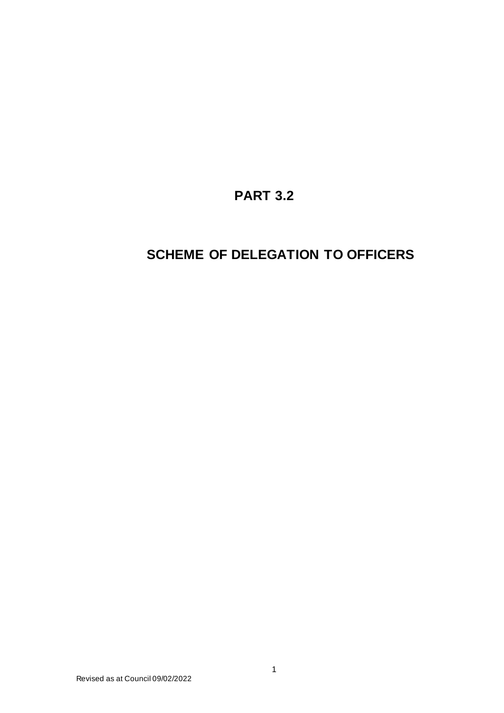## **PART 3.2**

## **SCHEME OF DELEGATION TO OFFICERS**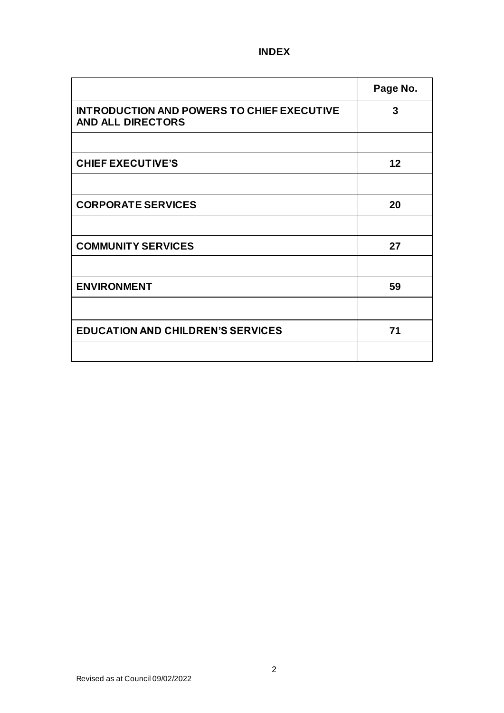## **INDEX**

|                                                                               | Page No. |
|-------------------------------------------------------------------------------|----------|
| <b>INTRODUCTION AND POWERS TO CHIEF EXECUTIVE</b><br><b>AND ALL DIRECTORS</b> | 3        |
|                                                                               |          |
| <b>CHIEF EXECUTIVE'S</b>                                                      | 12       |
|                                                                               |          |
| <b>CORPORATE SERVICES</b>                                                     | 20       |
|                                                                               |          |
| <b>COMMUNITY SERVICES</b>                                                     | 27       |
|                                                                               |          |
| <b>ENVIRONMENT</b>                                                            | 59       |
|                                                                               |          |
| <b>EDUCATION AND CHILDREN'S SERVICES</b>                                      | 71       |
|                                                                               |          |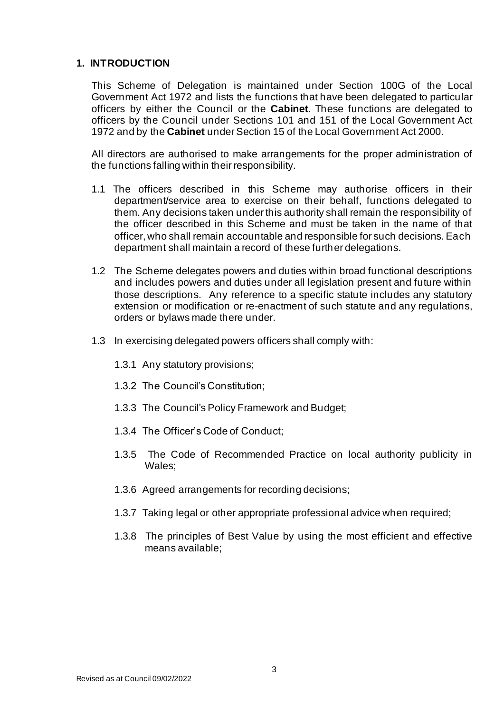## **1. INTRODUCTION**

This Scheme of Delegation is maintained under Section 100G of the Local Government Act 1972 and lists the functions that have been delegated to particular officers by either the Council or the **Cabinet**. These functions are delegated to officers by the Council under Sections 101 and 151 of the Local Government Act 1972 and by the **Cabinet** under Section 15 of the Local Government Act 2000.

All directors are authorised to make arrangements for the proper administration of the functions falling within their responsibility.

- 1.1 The officers described in this Scheme may authorise officers in their department/service area to exercise on their behalf, functions delegated to them. Any decisions taken under this authority shall remain the responsibility of the officer described in this Scheme and must be taken in the name of that officer, who shall remain accountable and responsible for such decisions. Each department shall maintain a record of these further delegations.
- 1.2 The Scheme delegates powers and duties within broad functional descriptions and includes powers and duties under all legislation present and future within those descriptions. Any reference to a specific statute includes any statutory extension or modification or re-enactment of such statute and any regulations, orders or bylaws made there under.
- 1.3 In exercising delegated powers officers shall comply with:
	- 1.3.1 Any statutory provisions;
	- 1.3.2 The Council's Constitution;
	- 1.3.3 The Council's Policy Framework and Budget;
	- 1.3.4 The Officer's Code of Conduct;
	- 1.3.5 The Code of Recommended Practice on local authority publicity in Wales;
	- 1.3.6 Agreed arrangements for recording decisions;
	- 1.3.7 Taking legal or other appropriate professional advice when required;
	- 1.3.8 The principles of Best Value by using the most efficient and effective means available;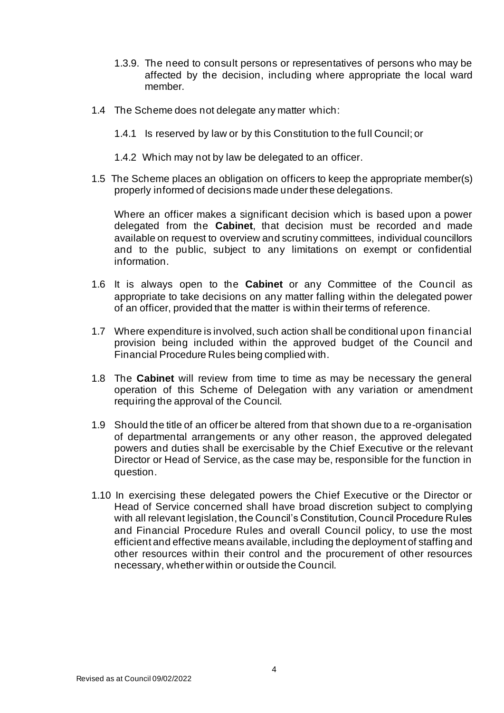- 1.3.9. The need to consult persons or representatives of persons who may be affected by the decision, including where appropriate the local ward member.
- 1.4 The Scheme does not delegate any matter which:
	- 1.4.1 Is reserved by law or by this Constitution to the full Council; or
	- 1.4.2 Which may not by law be delegated to an officer.
- 1.5 The Scheme places an obligation on officers to keep the appropriate member(s) properly informed of decisions made under these delegations.

Where an officer makes a significant decision which is based upon a power delegated from the **Cabinet**, that decision must be recorded and made available on request to overview and scrutiny committees, individual councillors and to the public, subject to any limitations on exempt or confidential information.

- 1.6 It is always open to the **Cabinet** or any Committee of the Council as appropriate to take decisions on any matter falling within the delegated power of an officer, provided that the matter is within their terms of reference.
- 1.7 Where expenditure is involved, such action shall be conditional upon financial provision being included within the approved budget of the Council and Financial Procedure Rules being complied with.
- 1.8 The **Cabinet** will review from time to time as may be necessary the general operation of this Scheme of Delegation with any variation or amendment requiring the approval of the Council.
- 1.9 Should the title of an officer be altered from that shown due to a re-organisation of departmental arrangements or any other reason, the approved delegated powers and duties shall be exercisable by the Chief Executive or the relevant Director or Head of Service, as the case may be, responsible for the function in question.
- 1.10 In exercising these delegated powers the Chief Executive or the Director or Head of Service concerned shall have broad discretion subject to complying with all relevant legislation, the Council's Constitution, Council Procedure Rules and Financial Procedure Rules and overall Council policy, to use the most efficient and effective means available, including the deployment of staffing and other resources within their control and the procurement of other resources necessary, whether within or outside the Council.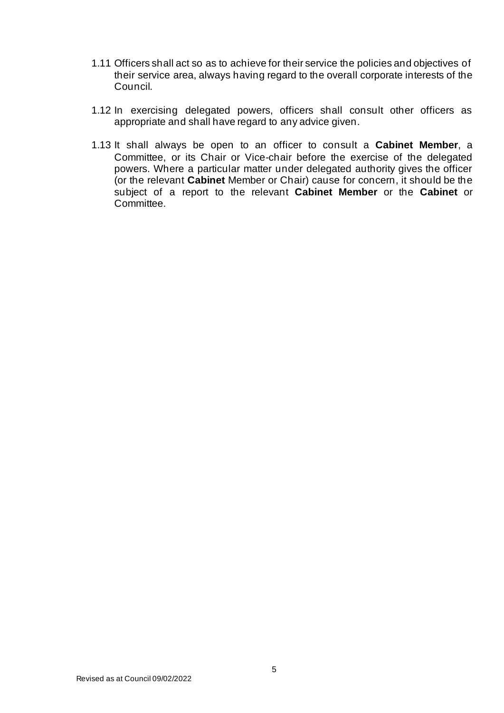- 1.11 Officers shall act so as to achieve for their service the policies and objectives of their service area, always having regard to the overall corporate interests of the Council.
- 1.12 In exercising delegated powers, officers shall consult other officers as appropriate and shall have regard to any advice given.
- 1.13 It shall always be open to an officer to consult a **Cabinet Member**, a Committee, or its Chair or Vice-chair before the exercise of the delegated powers. Where a particular matter under delegated authority gives the officer (or the relevant **Cabinet** Member or Chair) cause for concern, it should be the subject of a report to the relevant **Cabinet Member** or the **Cabinet** or Committee.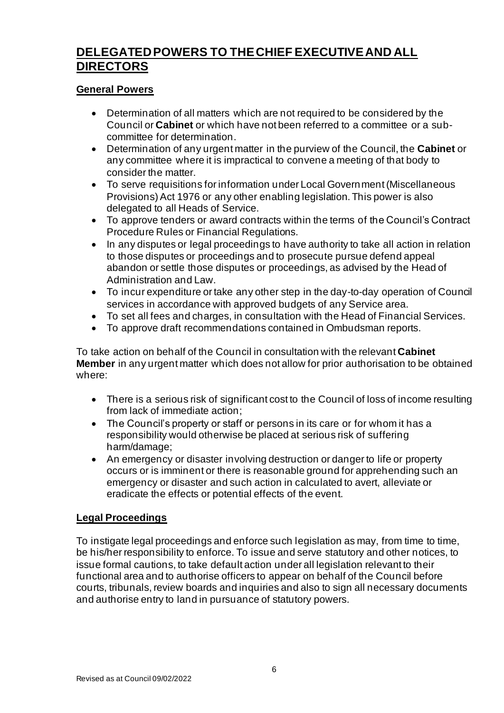## **DELEGATED POWERS TO THE CHIEF EXECUTIVE AND ALL DIRECTORS**

## **General Powers**

- Determination of all matters which are not required to be considered by the Council or **Cabinet** or which have not been referred to a committee or a subcommittee for determination.
- Determination of any urgent matter in the purview of the Council, the **Cabinet** or any committee where it is impractical to convene a meeting of that body to consider the matter.
- To serve requisitions for information under Local Government (Miscellaneous Provisions) Act 1976 or any other enabling legislation. This power is also delegated to all Heads of Service.
- To approve tenders or award contracts within the terms of the Council's Contract Procedure Rules or Financial Regulations.
- In any disputes or legal proceedings to have authority to take all action in relation to those disputes or proceedings and to prosecute pursue defend appeal abandon or settle those disputes or proceedings, as advised by the Head of Administration and Law.
- To incur expenditure or take any other step in the day-to-day operation of Council services in accordance with approved budgets of any Service area.
- To set all fees and charges, in consultation with the Head of Financial Services.
- To approve draft recommendations contained in Ombudsman reports.

To take action on behalf of the Council in consultation with the relevant **Cabinet Member** in any urgent matter which does not allow for prior authorisation to be obtained where:

- There is a serious risk of significant cost to the Council of loss of income resulting from lack of immediate action;
- The Council's property or staff or persons in its care or for whom it has a responsibility would otherwise be placed at serious risk of suffering harm/damage;
- An emergency or disaster involving destruction or danger to life or property occurs or is imminent or there is reasonable ground for apprehending such an emergency or disaster and such action in calculated to avert, alleviate or eradicate the effects or potential effects of the event.

#### **Legal Proceedings**

To instigate legal proceedings and enforce such legislation as may, from time to time, be his/her responsibility to enforce. To issue and serve statutory and other notices, to issue formal cautions, to take default action under all legislation relevant to their functional area and to authorise officers to appear on behalf of the Council before courts, tribunals, review boards and inquiries and also to sign all necessary documents and authorise entry to land in pursuance of statutory powers.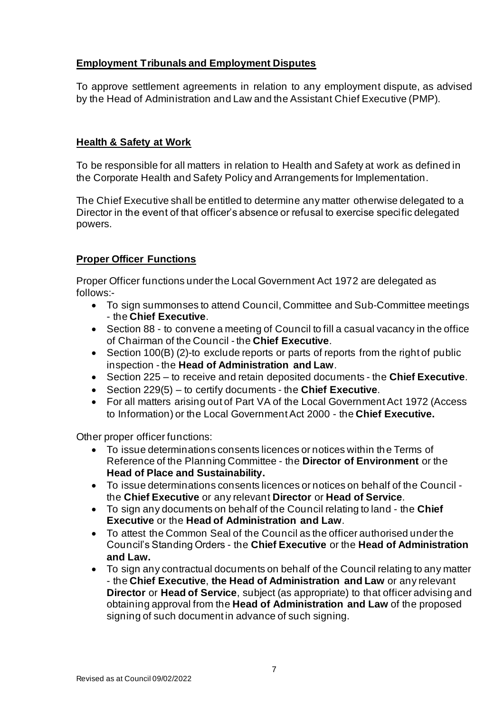## **Employment Tribunals and Employment Disputes**

To approve settlement agreements in relation to any employment dispute, as advised by the Head of Administration and Law and the Assistant Chief Executive (PMP).

## **Health & Safety at Work**

To be responsible for all matters in relation to Health and Safety at work as defined in the Corporate Health and Safety Policy and Arrangements for Implementation.

The Chief Executive shall be entitled to determine any matter otherwise delegated to a Director in the event of that officer's absence or refusal to exercise specific delegated powers.

## **Proper Officer Functions**

Proper Officer functions under the Local Government Act 1972 are delegated as follows:-

- To sign summonses to attend Council, Committee and Sub-Committee meetings - the **Chief Executive**.
- Section 88 to convene a meeting of Council to fill a casual vacancy in the office of Chairman of the Council - the **Chief Executive**.
- Section 100(B) (2)-to exclude reports or parts of reports from the right of public inspection - the **Head of Administration and Law**.
- Section 225 to receive and retain deposited documents the **Chief Executive**.
- Section 229(5) to certify documents the **Chief Executive**.
- For all matters arising out of Part VA of the Local Government Act 1972 (Access to Information) or the Local Government Act 2000 - the **Chief Executive.**

Other proper officer functions:

- To issue determinations consents licences or notices within the Terms of Reference of the Planning Committee - the **Director of Environment** or the **Head of Place and Sustainability.**
- To issue determinations consents licences or notices on behalf of the Council the **Chief Executive** or any relevant **Director** or **Head of Service**.
- To sign any documents on behalf of the Council relating to land the **Chief Executive** or the **Head of Administration and Law**.
- To attest the Common Seal of the Council as the officer authorised under the Council's Standing Orders - the **Chief Executive** or the **Head of Administration and Law.**
- To sign any contractual documents on behalf of the Council relating to any matter - the **Chief Executive**, **the Head of Administration and Law** or any relevant **Director** or **Head of Service**, subject (as appropriate) to that officer advising and obtaining approval from the **Head of Administration and Law** of the proposed signing of such document in advance of such signing.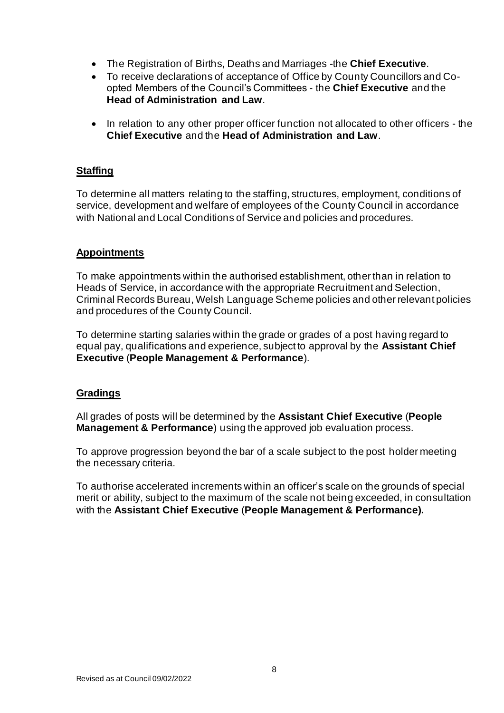- The Registration of Births, Deaths and Marriages -the **Chief Executive**.
- To receive declarations of acceptance of Office by County Councillors and Coopted Members of the Council's Committees - the **Chief Executive** and the **Head of Administration and Law**.
- In relation to any other proper officer function not allocated to other officers the **Chief Executive** and the **Head of Administration and Law**.

## **Staffing**

To determine all matters relating to the staffing, structures, employment, conditions of service, development and welfare of employees of the County Council in accordance with National and Local Conditions of Service and policies and procedures.

## **Appointments**

To make appointments within the authorised establishment, other than in relation to Heads of Service, in accordance with the appropriate Recruitment and Selection, Criminal Records Bureau, Welsh Language Scheme policies and other relevant policies and procedures of the County Council.

To determine starting salaries within the grade or grades of a post having regard to equal pay, qualifications and experience, subject to approval by the **Assistant Chief Executive** (**People Management & Performance**).

#### **Gradings**

All grades of posts will be determined by the **Assistant Chief Executive** (**People Management & Performance**) using the approved job evaluation process.

To approve progression beyond the bar of a scale subject to the post holder meeting the necessary criteria.

To authorise accelerated increments within an officer's scale on the grounds of special merit or ability, subject to the maximum of the scale not being exceeded, in consultation with the **Assistant Chief Executive** (**People Management & Performance).**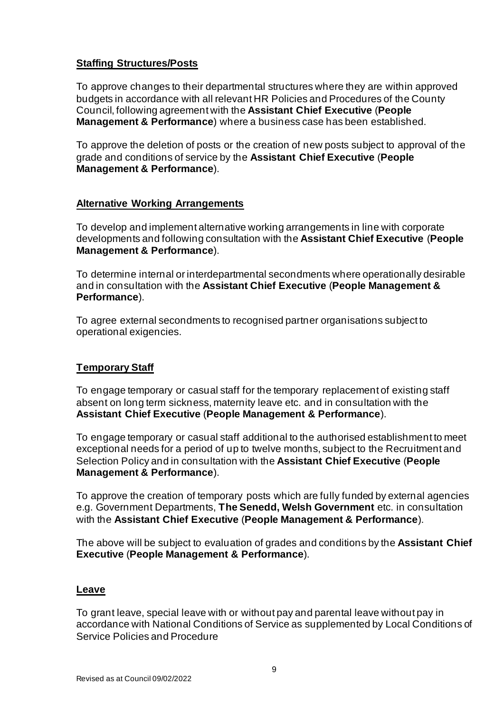## **Staffing Structures/Posts**

To approve changes to their departmental structures where they are within approved budgets in accordance with all relevant HR Policies and Procedures of the County Council, following agreement with the **Assistant Chief Executive** (**People Management & Performance**) where a business case has been established.

To approve the deletion of posts or the creation of new posts subject to approval of the grade and conditions of service by the **Assistant Chief Executive** (**People Management & Performance**).

## **Alternative Working Arrangements**

To develop and implement alternative working arrangements in line with corporate developments and following consultation with the **Assistant Chief Executive** (**People Management & Performance**).

To determine internal or interdepartmental secondments where operationally desirable and in consultation with the **Assistant Chief Executive** (**People Management & Performance**).

To agree external secondments to recognised partner organisations subject to operational exigencies.

## **Temporary Staff**

To engage temporary or casual staff for the temporary replacement of existing staff absent on long term sickness, maternity leave etc. and in consultation with the **Assistant Chief Executive** (**People Management & Performance**).

To engage temporary or casual staff additional to the authorised establishment to meet exceptional needs for a period of up to twelve months, subject to the Recruitment and Selection Policy and in consultation with the **Assistant Chief Executive** (**People Management & Performance**).

To approve the creation of temporary posts which are fully funded by external agencies e.g. Government Departments, **The Senedd, Welsh Government** etc. in consultation with the **Assistant Chief Executive** (**People Management & Performance**).

The above will be subject to evaluation of grades and conditions by the **Assistant Chief Executive** (**People Management & Performance**).

## **Leave**

To grant leave, special leave with or without pay and parental leave without pay in accordance with National Conditions of Service as supplemented by Local Conditions of Service Policies and Procedure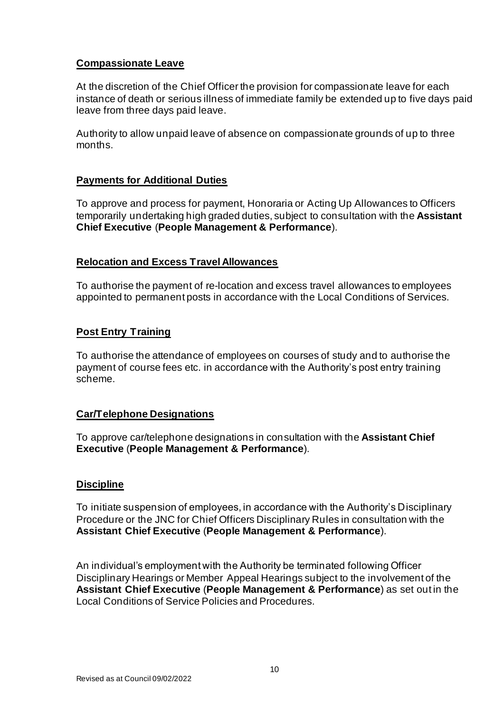## **Compassionate Leave**

At the discretion of the Chief Officer the provision for compassionate leave for each instance of death or serious illness of immediate family be extended up to five days paid leave from three days paid leave.

Authority to allow unpaid leave of absence on compassionate grounds of up to three months.

## **Payments for Additional Duties**

To approve and process for payment, Honoraria or Acting Up Allowances to Officers temporarily undertaking high graded duties, subject to consultation with the **Assistant Chief Executive** (**People Management & Performance**).

## **Relocation and Excess Travel Allowances**

To authorise the payment of re-location and excess travel allowances to employees appointed to permanent posts in accordance with the Local Conditions of Services.

## **Post Entry Training**

To authorise the attendance of employees on courses of study and to authorise the payment of course fees etc. in accordance with the Authority's post entry training scheme.

#### **Car/Telephone Designations**

To approve car/telephone designations in consultation with the **Assistant Chief Executive** (**People Management & Performance**).

#### **Discipline**

To initiate suspension of employees, in accordance with the Authority's Disciplinary Procedure or the JNC for Chief Officers Disciplinary Rules in consultation with the **Assistant Chief Executive** (**People Management & Performance**).

An individual's employment with the Authority be terminated following Officer Disciplinary Hearings or Member Appeal Hearings subject to the involvement of the **Assistant Chief Executive** (**People Management & Performance**) as set out in the Local Conditions of Service Policies and Procedures.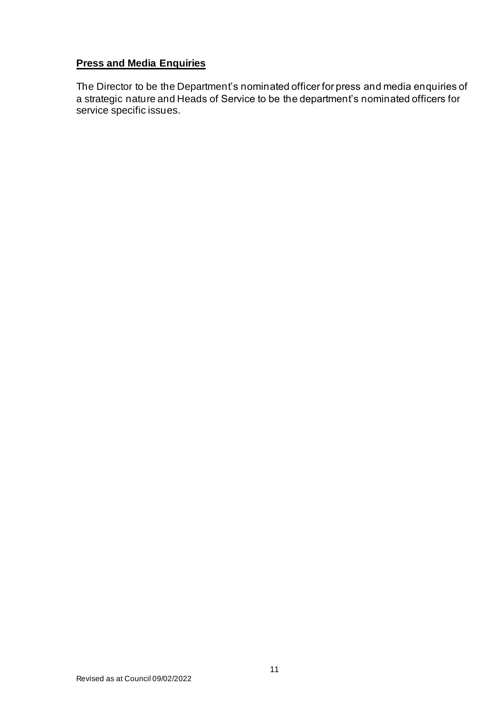## **Press and Media Enquiries**

The Director to be the Department's nominated officer for press and media enquiries of a strategic nature and Heads of Service to be the department's nominated officers for service specific issues.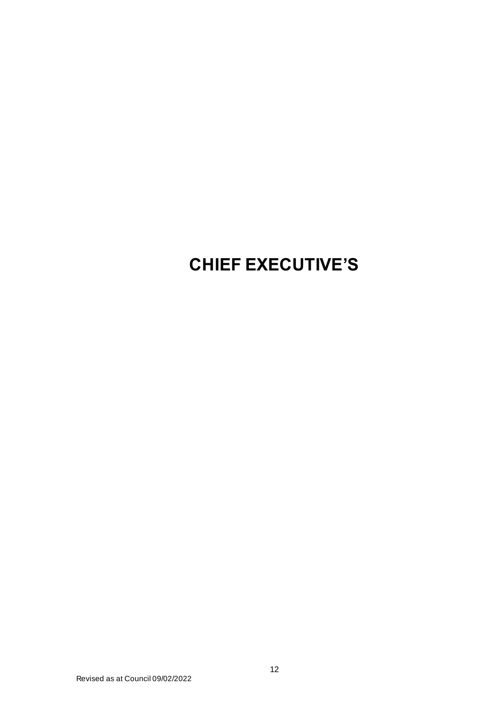# **CHIEF EXECUTIVE'S**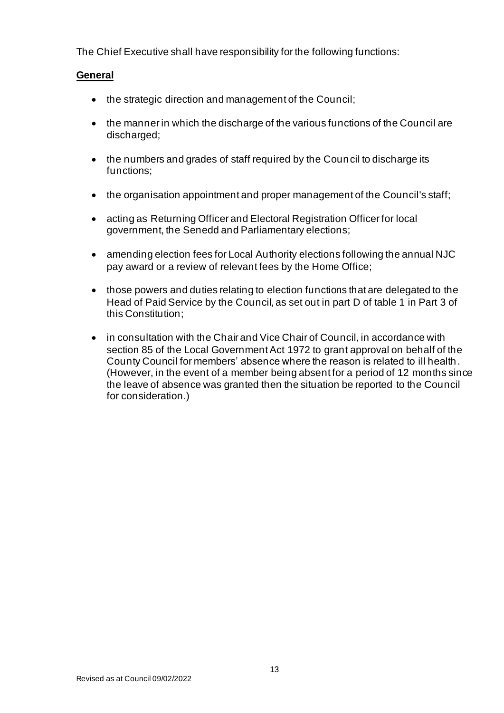The Chief Executive shall have responsibility for the following functions:

## **General**

- the strategic direction and management of the Council;
- the manner in which the discharge of the various functions of the Council are discharged;
- the numbers and grades of staff required by the Council to discharge its functions;
- the organisation appointment and proper management of the Council's staff;
- acting as Returning Officer and Electoral Registration Officer for local government, the Senedd and Parliamentary elections;
- amending election fees for Local Authority elections following the annual NJC pay award or a review of relevant fees by the Home Office;
- those powers and duties relating to election functions that are delegated to the Head of Paid Service by the Council, as set out in part D of table 1 in Part 3 of this Constitution;
- in consultation with the Chair and Vice Chair of Council, in accordance with section 85 of the Local Government Act 1972 to grant approval on behalf of the County Council for members' absence where the reason is related to ill health. (However, in the event of a member being absent for a period of 12 months since the leave of absence was granted then the situation be reported to the Council for consideration.)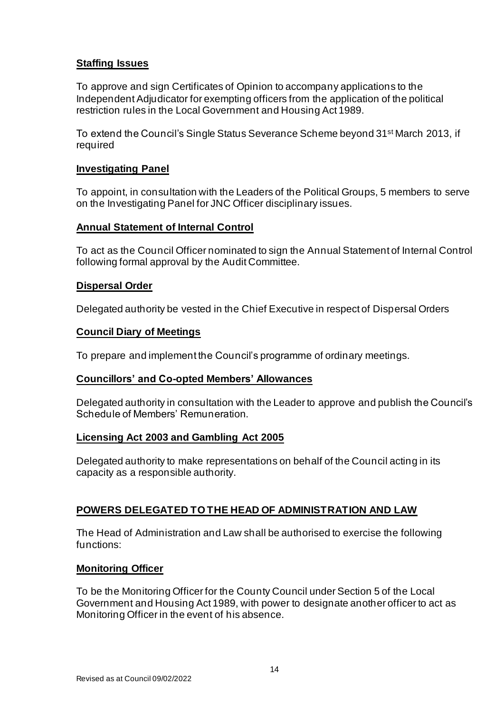## **Staffing Issues**

To approve and sign Certificates of Opinion to accompany applications to the Independent Adjudicator for exempting officers from the application of the political restriction rules in the Local Government and Housing Act 1989.

To extend the Council's Single Status Severance Scheme beyond 31st March 2013, if required

## **Investigating Panel**

To appoint, in consultation with the Leaders of the Political Groups, 5 members to serve on the Investigating Panel for JNC Officer disciplinary issues.

#### **Annual Statement of Internal Control**

To act as the Council Officer nominated to sign the Annual Statement of Internal Control following formal approval by the Audit Committee.

#### **Dispersal Order**

Delegated authority be vested in the Chief Executive in respect of Dispersal Orders

#### **Council Diary of Meetings**

To prepare and implement the Council's programme of ordinary meetings.

#### **Councillors' and Co-opted Members' Allowances**

Delegated authority in consultation with the Leader to approve and publish the Council's Schedule of Members' Remuneration.

#### **Licensing Act 2003 and Gambling Act 2005**

Delegated authority to make representations on behalf of the Council acting in its capacity as a responsible authority.

#### **POWERS DELEGATED TO THE HEAD OF ADMINISTRATION AND LAW**

The Head of Administration and Law shall be authorised to exercise the following functions:

#### **Monitoring Officer**

To be the Monitoring Officer for the County Council under Section 5 of the Local Government and Housing Act 1989, with power to designate another officer to act as Monitoring Officer in the event of his absence.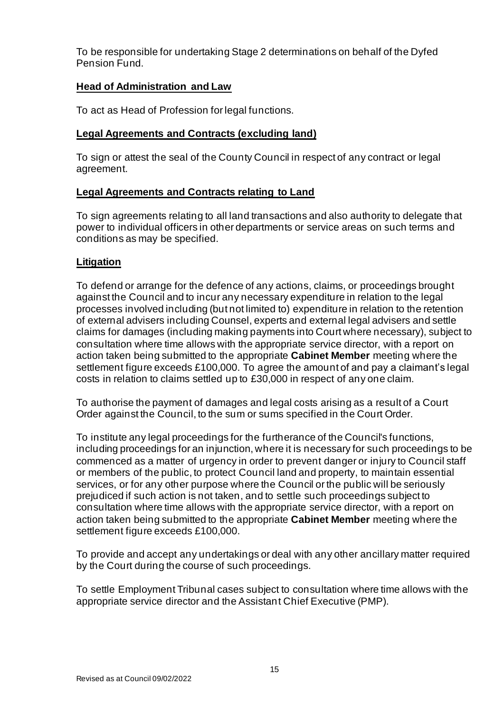To be responsible for undertaking Stage 2 determinations on behalf of the Dyfed Pension Fund.

## **Head of Administration and Law**

To act as Head of Profession for legal functions.

## **Legal Agreements and Contracts (excluding land)**

To sign or attest the seal of the County Council in respect of any contract or legal agreement.

## **Legal Agreements and Contracts relating to Land**

To sign agreements relating to all land transactions and also authority to delegate that power to individual officers in other departments or service areas on such terms and conditions as may be specified.

## **Litigation**

To defend or arrange for the defence of any actions, claims, or proceedings brought against the Council and to incur any necessary expenditure in relation to the legal processes involved including (but not limited to) expenditure in relation to the retention of external advisers including Counsel, experts and external legal advisers and settle claims for damages (including making payments into Court where necessary), subject to consultation where time allows with the appropriate service director, with a report on action taken being submitted to the appropriate **Cabinet Member** meeting where the settlement figure exceeds £100,000. To agree the amount of and pay a claimant's legal costs in relation to claims settled up to £30,000 in respect of any one claim.

To authorise the payment of damages and legal costs arising as a result of a Court Order against the Council, to the sum or sums specified in the Court Order.

To institute any legal proceedings for the furtherance of the Council's functions, including proceedings for an injunction, where it is necessary for such proceedings to be commenced as a matter of urgency in order to prevent danger or injury to Council staff or members of the public, to protect Council land and property, to maintain essential services, or for any other purpose where the Council or the public will be seriously prejudiced if such action is not taken, and to settle such proceedings subject to consultation where time allows with the appropriate service director, with a report on action taken being submitted to the appropriate **Cabinet Member** meeting where the settlement figure exceeds £100,000.

To provide and accept any undertakings or deal with any other ancillary matter required by the Court during the course of such proceedings.

To settle Employment Tribunal cases subject to consultation where time allows with the appropriate service director and the Assistant Chief Executive (PMP).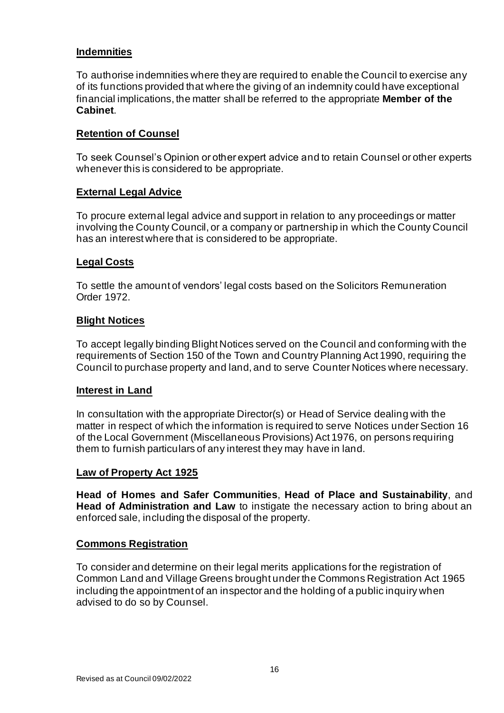## **Indemnities**

To authorise indemnities where they are required to enable the Council to exercise any of its functions provided that where the giving of an indemnity could have exceptional financial implications, the matter shall be referred to the appropriate **Member of the Cabinet**.

## **Retention of Counsel**

To seek Counsel's Opinion or other expert advice and to retain Counsel or other experts whenever this is considered to be appropriate.

## **External Legal Advice**

To procure external legal advice and support in relation to any proceedings or matter involving the County Council, or a company or partnership in which the County Council has an interest where that is considered to be appropriate.

## **Legal Costs**

To settle the amount of vendors' legal costs based on the Solicitors Remuneration Order 1972.

#### **Blight Notices**

To accept legally binding Blight Notices served on the Council and conforming with the requirements of Section 150 of the Town and Country Planning Act 1990, requiring the Council to purchase property and land, and to serve Counter Notices where necessary.

#### **Interest in Land**

In consultation with the appropriate Director(s) or Head of Service dealing with the matter in respect of which the information is required to serve Notices under Section 16 of the Local Government (Miscellaneous Provisions) Act 1976, on persons requiring them to furnish particulars of any interest they may have in land.

#### **Law of Property Act 1925**

**Head of Homes and Safer Communities**, **Head of Place and Sustainability**, and **Head of Administration and Law** to instigate the necessary action to bring about an enforced sale, including the disposal of the property.

#### **Commons Registration**

To consider and determine on their legal merits applications for the registration of Common Land and Village Greens brought under the Commons Registration Act 1965 including the appointment of an inspector and the holding of a public inquiry when advised to do so by Counsel.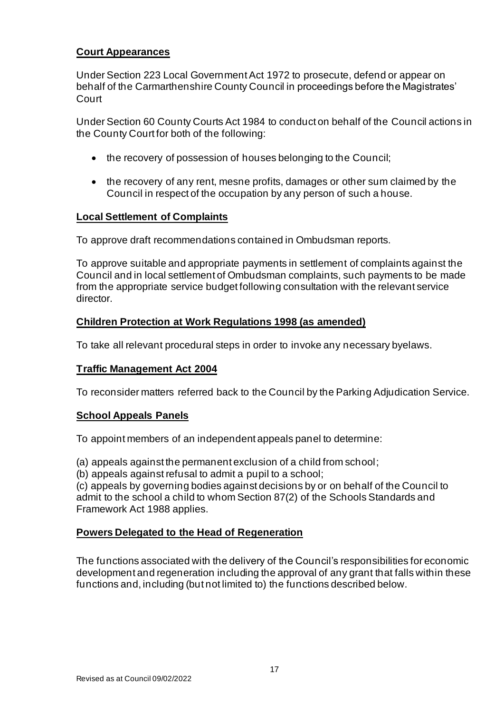## **Court Appearances**

Under Section 223 Local Government Act 1972 to prosecute, defend or appear on behalf of the Carmarthenshire County Council in proceedings before the Magistrates' Court

Under Section 60 County Courts Act 1984 to conduct on behalf of the Council actions in the County Court for both of the following:

- the recovery of possession of houses belonging to the Council;
- the recovery of any rent, mesne profits, damages or other sum claimed by the Council in respect of the occupation by any person of such a house.

#### **Local Settlement of Complaints**

To approve draft recommendations contained in Ombudsman reports.

To approve suitable and appropriate payments in settlement of complaints against the Council and in local settlement of Ombudsman complaints, such payments to be made from the appropriate service budget following consultation with the relevant service director.

## **Children Protection at Work Regulations 1998 (as amended)**

To take all relevant procedural steps in order to invoke any necessary byelaws.

#### **Traffic Management Act 2004**

To reconsider matters referred back to the Council by the Parking Adjudication Service.

#### **School Appeals Panels**

To appoint members of an independent appeals panel to determine:

(a) appeals against the permanent exclusion of a child from school;

(b) appeals against refusal to admit a pupil to a school;

(c) appeals by governing bodies against decisions by or on behalf of the Council to admit to the school a child to whom Section 87(2) of the Schools Standards and Framework Act 1988 applies.

#### **Powers Delegated to the Head of Regeneration**

The functions associated with the delivery of the Council's responsibilities for economic development and regeneration including the approval of any grant that falls within these functions and, including (but not limited to) the functions described below.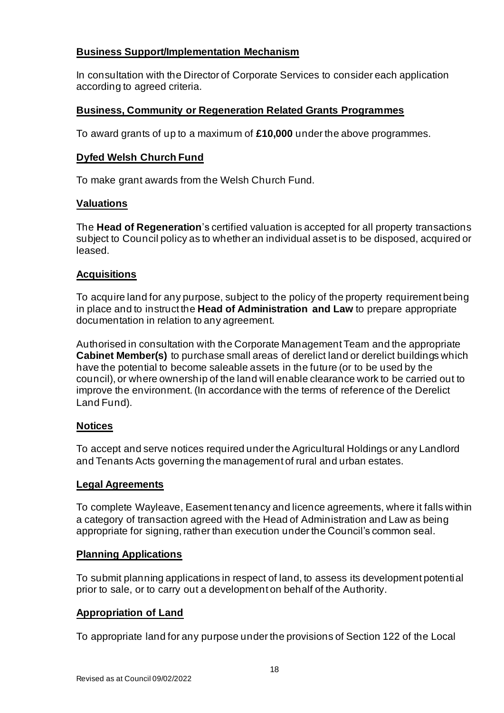## **Business Support/Implementation Mechanism**

In consultation with the Director of Corporate Services to consider each application according to agreed criteria.

## **Business, Community or Regeneration Related Grants Programmes**

To award grants of up to a maximum of **£10,000** under the above programmes.

## **Dyfed Welsh Church Fund**

To make grant awards from the Welsh Church Fund.

## **Valuations**

The **Head of Regeneration**'s certified valuation is accepted for all property transactions subject to Council policy as to whether an individual asset is to be disposed, acquired or leased.

## **Acquisitions**

To acquire land for any purpose, subject to the policy of the property requirement being in place and to instruct the **Head of Administration and Law** to prepare appropriate documentation in relation to any agreement.

Authorised in consultation with the Corporate Management Team and the appropriate **Cabinet Member(s)** to purchase small areas of derelict land or derelict buildings which have the potential to become saleable assets in the future (or to be used by the council), or where ownership of the land will enable clearance work to be carried out to improve the environment. (In accordance with the terms of reference of the Derelict Land Fund).

## **Notices**

To accept and serve notices required under the Agricultural Holdings or any Landlord and Tenants Acts governing the management of rural and urban estates.

## **Legal Agreements**

To complete Wayleave, Easement tenancy and licence agreements, where it falls within a category of transaction agreed with the Head of Administration and Law as being appropriate for signing, rather than execution under the Council's common seal.

## **Planning Applications**

To submit planning applications in respect of land, to assess its development potential prior to sale, or to carry out a development on behalf of the Authority.

## **Appropriation of Land**

To appropriate land for any purpose under the provisions of Section 122 of the Local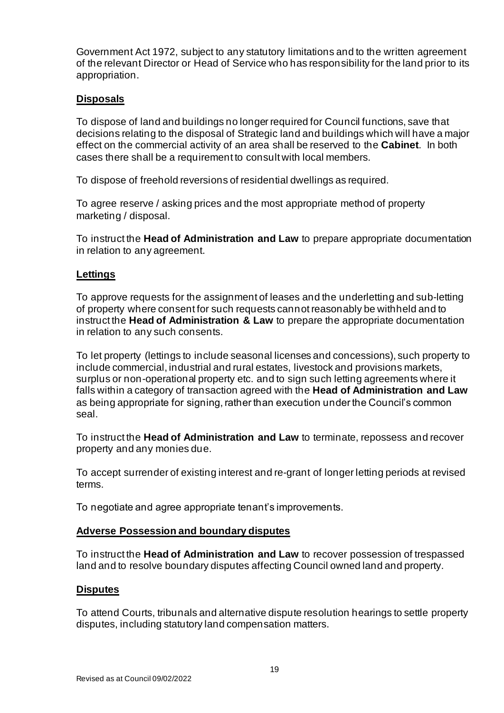Government Act 1972, subject to any statutory limitations and to the written agreement of the relevant Director or Head of Service who has responsibility for the land prior to its appropriation.

## **Disposals**

To dispose of land and buildings no longer required for Council functions, save that decisions relating to the disposal of Strategic land and buildings which will have a major effect on the commercial activity of an area shall be reserved to the **Cabinet**. In both cases there shall be a requirement to consult with local members.

To dispose of freehold reversions of residential dwellings as required.

To agree reserve / asking prices and the most appropriate method of property marketing / disposal.

To instruct the **Head of Administration and Law** to prepare appropriate documentation in relation to any agreement.

#### **Lettings**

To approve requests for the assignment of leases and the underletting and sub-letting of property where consent for such requests cannot reasonably be withheld and to instruct the **Head of Administration & Law** to prepare the appropriate documentation in relation to any such consents.

To let property (lettings to include seasonal licenses and concessions), such property to include commercial, industrial and rural estates, livestock and provisions markets, surplus or non-operational property etc. and to sign such letting agreements where it falls within a category of transaction agreed with the **Head of Administration and Law** as being appropriate for signing, rather than execution under the Council's common seal.

To instruct the **Head of Administration and Law** to terminate, repossess and recover property and any monies due.

To accept surrender of existing interest and re-grant of longer letting periods at revised terms.

To negotiate and agree appropriate tenant's improvements.

#### **Adverse Possession and boundary disputes**

To instruct the **Head of Administration and Law** to recover possession of trespassed land and to resolve boundary disputes affecting Council owned land and property.

#### **Disputes**

To attend Courts, tribunals and alternative dispute resolution hearings to settle property disputes, including statutory land compensation matters.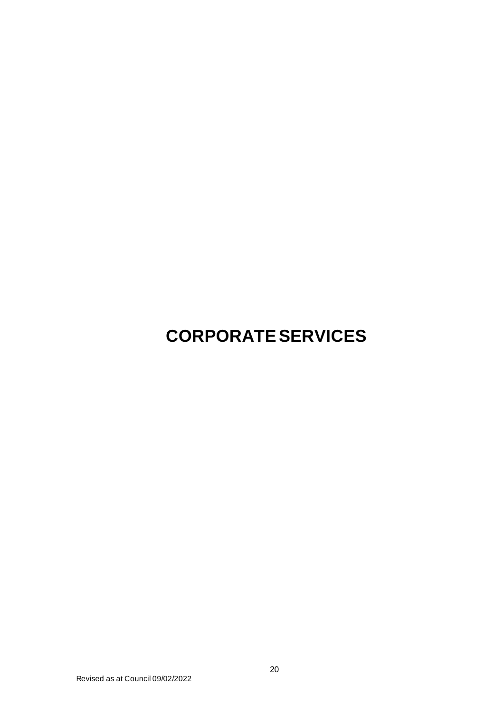# **CORPORATE SERVICES**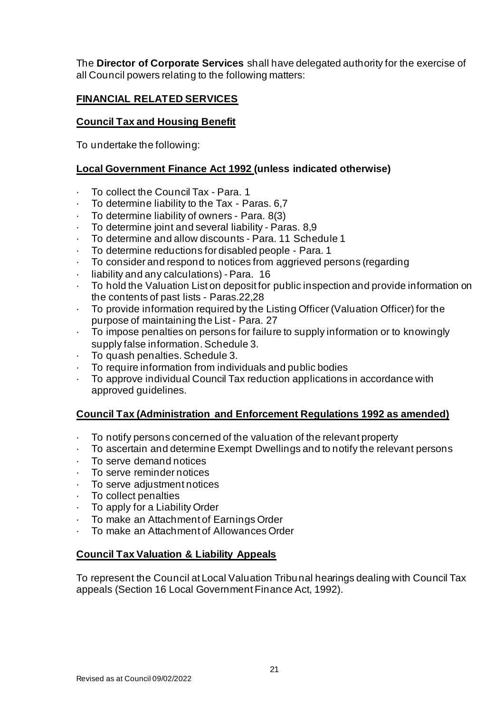The **Director of Corporate Services** shall have delegated authority for the exercise of all Council powers relating to the following matters:

## **FINANCIAL RELATED SERVICES**

## **Council Tax and Housing Benefit**

To undertake the following:

## **Local Government Finance Act 1992 (unless indicated otherwise)**

- · To collect the Council Tax Para. 1
- To determine liability to the Tax Paras. 6,7
- · To determine liability of owners Para. 8(3)
- To determine joint and several liability Paras. 8.9
- · To determine and allow discounts Para. 11 Schedule 1
- To determine reductions for disabled people Para. 1
- · To consider and respond to notices from aggrieved persons (regarding
- · liability and any calculations) Para. 16
- · To hold the Valuation List on deposit for public inspection and provide information on the contents of past lists - Paras.22,28
- · To provide information required by the Listing Officer (Valuation Officer) for the purpose of maintaining the List - Para. 27
- · To impose penalties on persons for failure to supply information or to knowingly supply false information. Schedule 3.
- · To quash penalties. Schedule 3.
- · To require information from individuals and public bodies
- · To approve individual Council Tax reduction applications in accordance with approved guidelines.

## **Council Tax (Administration and Enforcement Regulations 1992 as amended)**

- · To notify persons concerned of the valuation of the relevant property
- · To ascertain and determine Exempt Dwellings and to notify the relevant persons
- To serve demand notices
- · To serve reminder notices
- · To serve adjustment notices
- · To collect penalties
- · To apply for a Liability Order
- · To make an Attachment of Earnings Order
- · To make an Attachment of Allowances Order

## **Council Tax Valuation & Liability Appeals**

To represent the Council at Local Valuation Tribunal hearings dealing with Council Tax appeals (Section 16 Local Government Finance Act, 1992).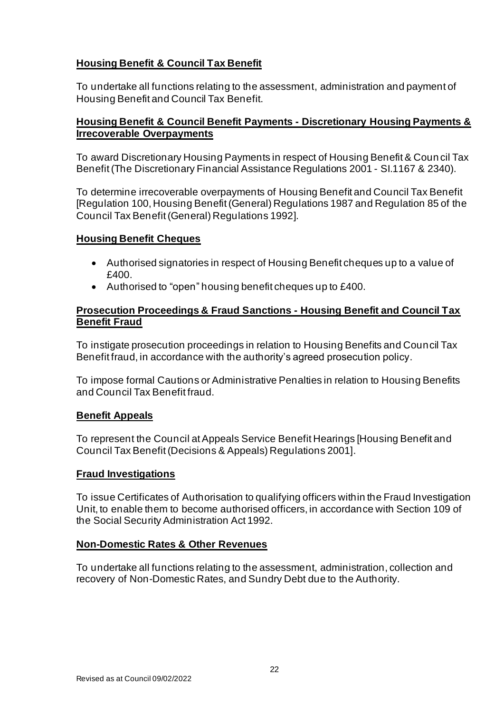## **Housing Benefit & Council Tax Benefit**

To undertake all functions relating to the assessment, administration and payment of Housing Benefit and Council Tax Benefit.

## **Housing Benefit & Council Benefit Payments - Discretionary Housing Payments & Irrecoverable Overpayments**

To award Discretionary Housing Payments in respect of Housing Benefit & Coun cil Tax Benefit (The Discretionary Financial Assistance Regulations 2001 - SI.1167 & 2340).

To determine irrecoverable overpayments of Housing Benefit and Council Tax Benefit [Regulation 100, Housing Benefit (General) Regulations 1987 and Regulation 85 of the Council Tax Benefit (General) Regulations 1992].

#### **Housing Benefit Cheques**

- Authorised signatories in respect of Housing Benefit cheques up to a value of £400.
- Authorised to "open" housing benefit cheques up to £400.

### **Prosecution Proceedings & Fraud Sanctions - Housing Benefit and Council Tax Benefit Fraud**

To instigate prosecution proceedings in relation to Housing Benefits and Council Tax Benefit fraud, in accordance with the authority's agreed prosecution policy.

To impose formal Cautions or Administrative Penalties in relation to Housing Benefits and Council Tax Benefit fraud.

#### **Benefit Appeals**

To represent the Council at Appeals Service Benefit Hearings [Housing Benefit and Council Tax Benefit (Decisions & Appeals) Regulations 2001].

#### **Fraud Investigations**

To issue Certificates of Authorisation to qualifying officers within the Fraud Investigation Unit, to enable them to become authorised officers, in accordance with Section 109 of the Social Security Administration Act 1992.

#### **Non-Domestic Rates & Other Revenues**

To undertake all functions relating to the assessment, administration, collection and recovery of Non-Domestic Rates, and Sundry Debt due to the Authority.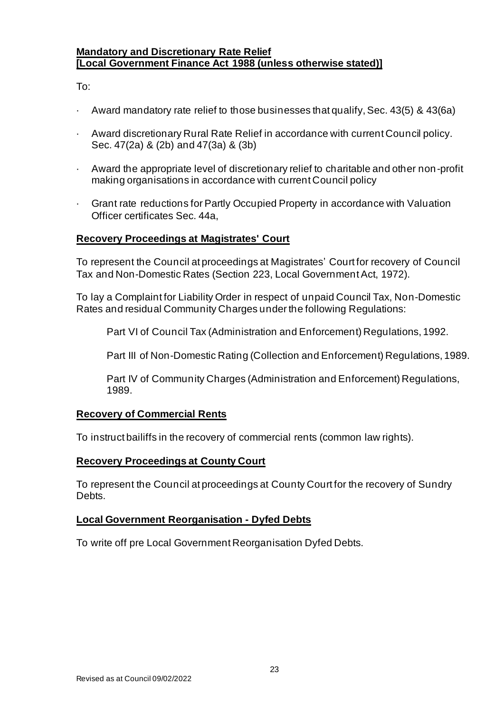#### **Mandatory and Discretionary Rate Relief [Local Government Finance Act 1988 (unless otherwise stated)]**

To:

- · Award mandatory rate relief to those businesses that qualify, Sec. 43(5) & 43(6a)
- Award discretionary Rural Rate Relief in accordance with current Council policy. Sec. 47(2a) & (2b) and 47(3a) & (3b)
- · Award the appropriate level of discretionary relief to charitable and other non-profit making organisations in accordance with current Council policy
- · Grant rate reductions for Partly Occupied Property in accordance with Valuation Officer certificates Sec. 44a,

## **Recovery Proceedings at Magistrates' Court**

To represent the Council at proceedings at Magistrates' Court for recovery of Council Tax and Non-Domestic Rates (Section 223, Local Government Act, 1972).

To lay a Complaint for Liability Order in respect of unpaid Council Tax, Non-Domestic Rates and residual Community Charges under the following Regulations:

Part VI of Council Tax (Administration and Enforcement) Regulations, 1992.

Part III of Non-Domestic Rating (Collection and Enforcement) Regulations, 1989.

Part IV of Community Charges (Administration and Enforcement) Regulations, 1989.

#### **Recovery of Commercial Rents**

To instruct bailiffs in the recovery of commercial rents (common law rights).

#### **Recovery Proceedings at County Court**

To represent the Council at proceedings at County Court for the recovery of Sundry Debts.

#### **Local Government Reorganisation - Dyfed Debts**

To write off pre Local Government Reorganisation Dyfed Debts.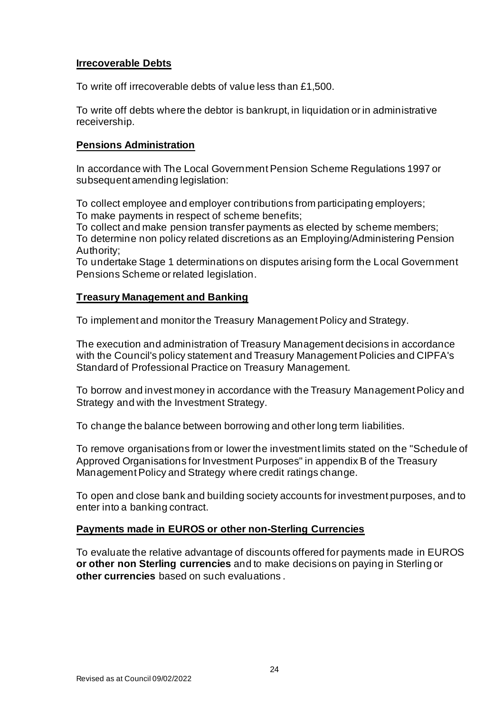## **Irrecoverable Debts**

To write off irrecoverable debts of value less than £1,500.

To write off debts where the debtor is bankrupt, in liquidation or in administrative receivership.

#### **Pensions Administration**

In accordance with The Local Government Pension Scheme Regulations 1997 or subsequent amending legislation:

To collect employee and employer contributions from participating employers; To make payments in respect of scheme benefits;

To collect and make pension transfer payments as elected by scheme members; To determine non policy related discretions as an Employing/Administering Pension Authority;

To undertake Stage 1 determinations on disputes arising form the Local Government Pensions Scheme or related legislation.

#### **Treasury Management and Banking**

To implement and monitor the Treasury Management Policy and Strategy.

The execution and administration of Treasury Management decisions in accordance with the Council's policy statement and Treasury Management Policies and CIPFA's Standard of Professional Practice on Treasury Management.

To borrow and invest money in accordance with the Treasury Management Policy and Strategy and with the Investment Strategy.

To change the balance between borrowing and other long term liabilities.

To remove organisations from or lower the investment limits stated on the "Schedule of Approved Organisations for Investment Purposes" in appendix B of the Treasury Management Policy and Strategy where credit ratings change.

To open and close bank and building society accounts for investment purposes, and to enter into a banking contract.

#### **Payments made in EUROS or other non-Sterling Currencies**

To evaluate the relative advantage of discounts offered for payments made in EUROS **or other non Sterling currencies** and to make decisions on paying in Sterling or **other currencies** based on such evaluations .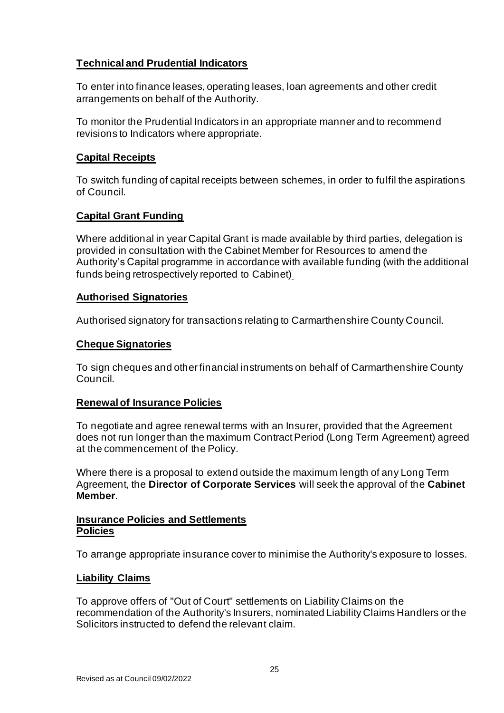## **Technical and Prudential Indicators**

To enter into finance leases, operating leases, loan agreements and other credit arrangements on behalf of the Authority.

To monitor the Prudential Indicators in an appropriate manner and to recommend revisions to Indicators where appropriate.

## **Capital Receipts**

To switch funding of capital receipts between schemes, in order to fulfil the aspirations of Council.

## **Capital Grant Funding**

Where additional in year Capital Grant is made available by third parties, delegation is provided in consultation with the Cabinet Member for Resources to amend the Authority's Capital programme in accordance with available funding (with the additional funds being retrospectively reported to Cabinet)

#### **Authorised Signatories**

Authorised signatory for transactions relating to Carmarthenshire County Council.

#### **Cheque Signatories**

To sign cheques and other financial instruments on behalf of Carmarthenshire County Council.

#### **Renewal of Insurance Policies**

To negotiate and agree renewal terms with an Insurer, provided that the Agreement does not run longer than the maximum Contract Period (Long Term Agreement) agreed at the commencement of the Policy.

Where there is a proposal to extend outside the maximum length of any Long Term Agreement, the **Director of Corporate Services** will seek the approval of the **Cabinet Member**.

#### **Insurance Policies and Settlements Policies**

To arrange appropriate insurance cover to minimise the Authority's exposure to losses.

#### **Liability Claims**

To approve offers of "Out of Court" settlements on Liability Claims on the recommendation of the Authority's Insurers, nominated Liability Claims Handlers or the Solicitors instructed to defend the relevant claim.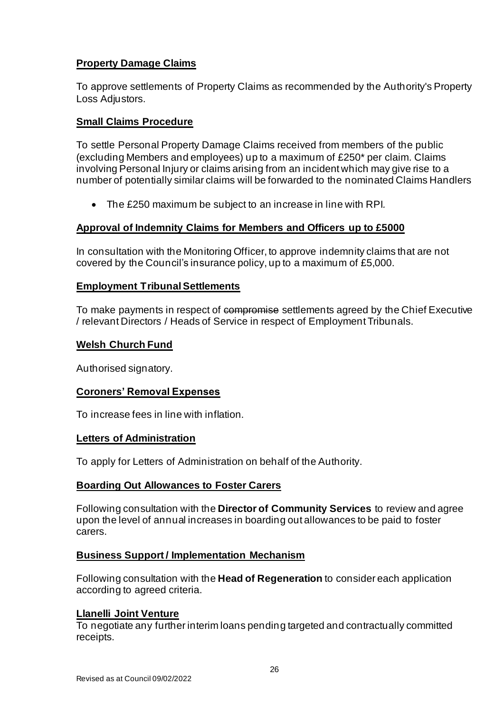## **Property Damage Claims**

To approve settlements of Property Claims as recommended by the Authority's Property Loss Adjustors.

## **Small Claims Procedure**

To settle Personal Property Damage Claims received from members of the public (excluding Members and employees) up to a maximum of £250\* per claim. Claims involving Personal Injury or claims arising from an incident which may give rise to a number of potentially similar claims will be forwarded to the nominated Claims Handlers

• The £250 maximum be subject to an increase in line with RPI*.*

## **Approval of Indemnity Claims for Members and Officers up to £5000**

In consultation with the Monitoring Officer, to approve indemnity claims that are not covered by the Council's insurance policy, up to a maximum of £5,000.

## **Employment Tribunal Settlements**

To make payments in respect of compromise settlements agreed by the Chief Executive / relevant Directors / Heads of Service in respect of Employment Tribunals.

## **Welsh Church Fund**

Authorised signatory.

## **Coroners' Removal Expenses**

To increase fees in line with inflation.

#### **Letters of Administration**

To apply for Letters of Administration on behalf of the Authority.

## **Boarding Out Allowances to Foster Carers**

Following consultation with the **Director of Community Services** to review and agree upon the level of annual increases in boarding out allowances to be paid to foster carers.

## **Business Support / Implementation Mechanism**

Following consultation with the **Head of Regeneration** to consider each application according to agreed criteria.

#### **Llanelli Joint Venture**

To negotiate any further interim loans pending targeted and contractually committed receipts.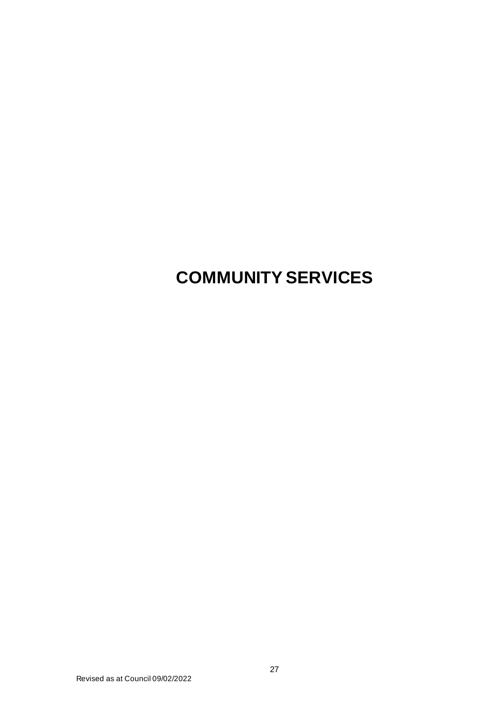## **COMMUNITY SERVICES**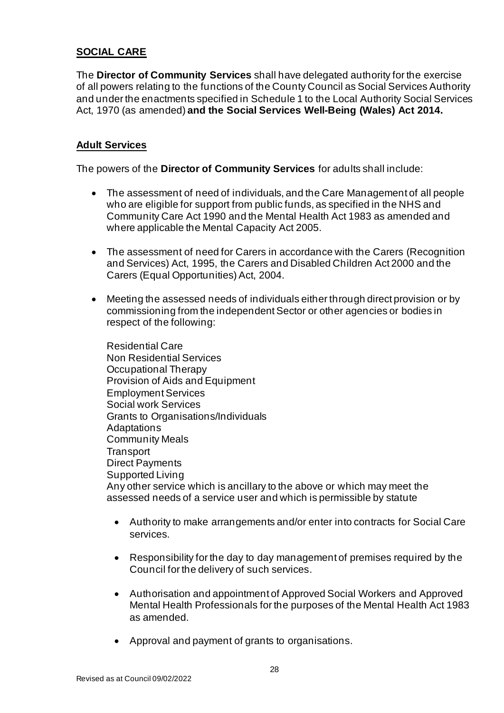## **SOCIAL CARE**

The **Director of Community Services** shall have delegated authority for the exercise of all powers relating to the functions of the County Council as Social Services Authority and under the enactments specified in Schedule 1 to the Local Authority Social Services Act, 1970 (as amended) **and the Social Services Well-Being (Wales) Act 2014.**

## **Adult Services**

The powers of the **Director of Community Services** for adults shall include:

- The assessment of need of individuals, and the Care Management of all people who are eligible for support from public funds, as specified in the NHS and Community Care Act 1990 and the Mental Health Act 1983 as amended and where applicable the Mental Capacity Act 2005.
- The assessment of need for Carers in accordance with the Carers (Recognition and Services) Act, 1995, the Carers and Disabled Children Act 2000 and the Carers (Equal Opportunities) Act, 2004.
- Meeting the assessed needs of individuals either through direct provision or by commissioning from the independent Sector or other agencies or bodies in respect of the following:

Residential Care Non Residential Services Occupational Therapy Provision of Aids and Equipment Employment Services Social work Services Grants to Organisations/Individuals Adaptations Community Meals **Transport** Direct Payments Supported Living Any other service which is ancillary to the above or which may meet the assessed needs of a service user and which is permissible by statute

- Authority to make arrangements and/or enter into contracts for Social Care services.
- Responsibility for the day to day management of premises required by the Council for the delivery of such services.
- Authorisation and appointment of Approved Social Workers and Approved Mental Health Professionals for the purposes of the Mental Health Act 1983 as amended.
- Approval and payment of grants to organisations.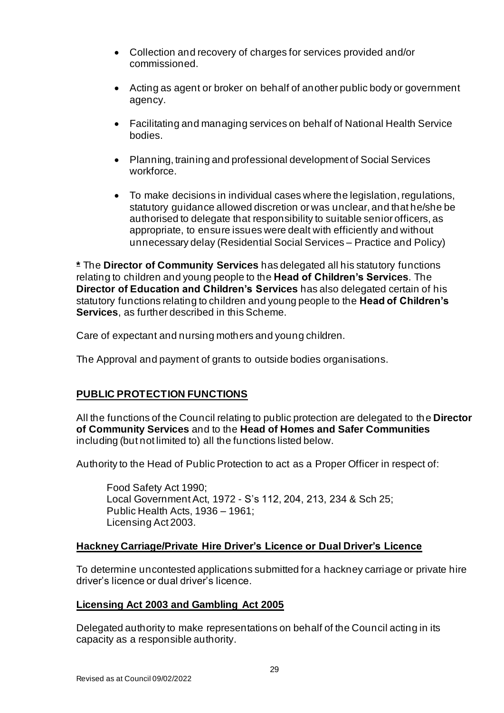- Collection and recovery of charges for services provided and/or commissioned.
- Acting as agent or broker on behalf of another public body or government agency.
- Facilitating and managing services on behalf of National Health Service bodies.
- Planning, training and professional development of Social Services workforce.
- To make decisions in individual cases where the legislation, regulations, statutory guidance allowed discretion or was unclear, and that he/she be authorised to delegate that responsibility to suitable senior officers, as appropriate, to ensure issues were dealt with efficiently and without unnecessary delay (Residential Social Services – Practice and Policy)

**\*** The **Director of Community Services** has delegated all his statutory functions relating to children and young people to the **Head of Children's Services**. The **Director of Education and Children's Services** has also delegated certain of his statutory functions relating to children and young people to the **Head of Children's Services**, as further described in this Scheme.

Care of expectant and nursing mothers and young children.

The Approval and payment of grants to outside bodies organisations.

## **PUBLIC PROTECTION FUNCTIONS**

All the functions of the Council relating to public protection are delegated to the **Director of Community Services** and to the **Head of Homes and Safer Communities**  including (but not limited to) all the functions listed below.

Authority to the Head of Public Protection to act as a Proper Officer in respect of:

Food Safety Act 1990; Local Government Act, 1972 - S's 112, 204, 213, 234 & Sch 25; Public Health Acts, 1936 – 1961; Licensing Act 2003.

#### **Hackney Carriage/Private Hire Driver's Licence or Dual Driver's Licence**

To determine uncontested applications submitted for a hackney carriage or private hire driver's licence or dual driver's licence.

#### **Licensing Act 2003 and Gambling Act 2005**

Delegated authority to make representations on behalf of the Council acting in its capacity as a responsible authority.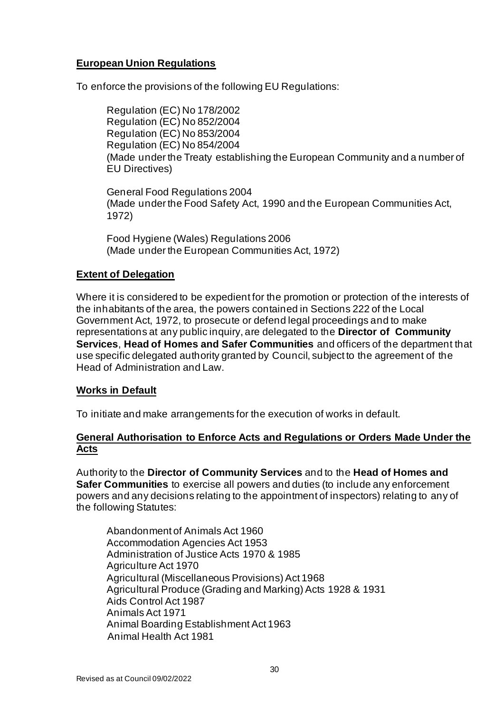## **European Union Regulations**

To enforce the provisions of the following EU Regulations:

Regulation (EC) No 178/2002 Regulation (EC) No 852/2004 Regulation (EC) No 853/2004 Regulation (EC) No 854/2004 (Made under the Treaty establishing the European Community and a number of EU Directives)

General Food Regulations 2004 (Made under the Food Safety Act, 1990 and the European Communities Act, 1972)

Food Hygiene (Wales) Regulations 2006 (Made under the European Communities Act, 1972)

## **Extent of Delegation**

Where it is considered to be expedient for the promotion or protection of the interests of the inhabitants of the area, the powers contained in Sections 222 of the Local Government Act, 1972, to prosecute or defend legal proceedings and to make representations at any public inquiry, are delegated to the **Director of Community Services**, **Head of Homes and Safer Communities** and officers of the department that use specific delegated authority granted by Council, subject to the agreement of the Head of Administration and Law.

#### **Works in Default**

To initiate and make arrangements for the execution of works in default.

## **General Authorisation to Enforce Acts and Regulations or Orders Made Under the Acts**

Authority to the **Director of Community Services** and to the **Head of Homes and Safer Communities** to exercise all powers and duties (to include any enforcement powers and any decisions relating to the appointment of inspectors) relating to any of the following Statutes:

Abandonment of Animals Act 1960 Accommodation Agencies Act 1953 Administration of Justice Acts 1970 & 1985 Agriculture Act 1970 Agricultural (Miscellaneous Provisions) Act 1968 Agricultural Produce (Grading and Marking) Acts 1928 & 1931 Aids Control Act 1987 Animals Act 1971 Animal Boarding Establishment Act 1963 Animal Health Act 1981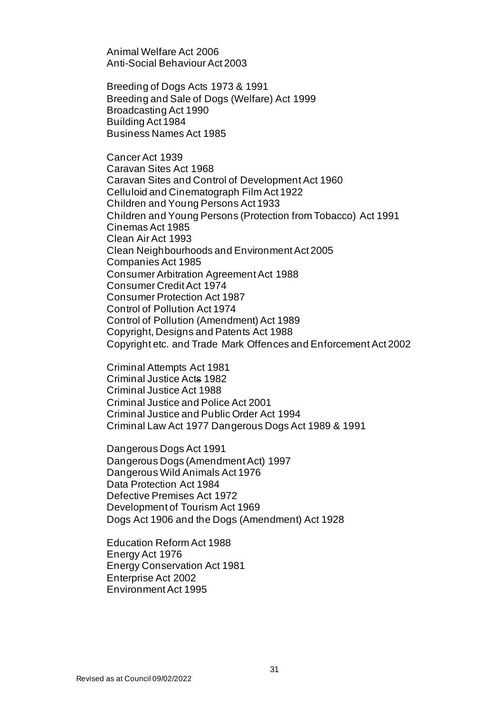Animal Welfare Act 2006 Anti-Social Behaviour Act 2003

Breeding of Dogs Acts 1973 & 1991 Breeding and Sale of Dogs (Welfare) Act 1999 Broadcasting Act 1990 Building Act 1984 Business Names Act 1985

Cancer Act 1939 Caravan Sites Act 1968 Caravan Sites and Control of Development Act 1960 Celluloid and Cinematograph Film Act 1922 Children and Young Persons Act 1933 Children and Young Persons (Protection from Tobacco) Act 1991 Cinemas Act 1985 Clean Air Act 1993 Clean Neighbourhoods and Environment Act 2005 Companies Act 1985 Consumer Arbitration Agreement Act 1988 Consumer Credit Act 1974 Consumer Protection Act 1987 Control of Pollution Act 1974 Control of Pollution (Amendment) Act 1989 Copyright, Designs and Patents Act 1988 Copyright etc. and Trade Mark Offences and Enforcement Act 2002

Criminal Attempts Act 1981 Criminal Justice Acts 1982 Criminal Justice Act 1988 Criminal Justice and Police Act 2001 Criminal Justice and Public Order Act 1994 Criminal Law Act 1977 Dangerous Dogs Act 1989 & 1991

Dangerous Dogs Act 1991 Dangerous Dogs (Amendment Act) 1997 Dangerous Wild Animals Act 1976 Data Protection Act 1984 Defective Premises Act 1972 Development of Tourism Act 1969 Dogs Act 1906 and the Dogs (Amendment) Act 1928

Education Reform Act 1988 Energy Act 1976 Energy Conservation Act 1981 Enterprise Act 2002 EnvironmentAct 1995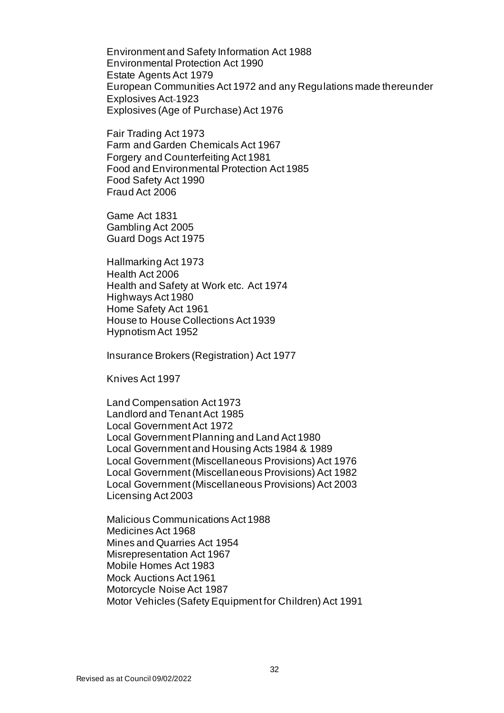Environment and Safety Information Act 1988 Environmental Protection Act 1990 Estate Agents Act 1979 European Communities Act 1972 and any Regulations made thereunder Explosives Act-1923 Explosives (Age of Purchase) Act 1976

Fair Trading Act 1973 Farm and Garden Chemicals Act 1967 Forgery and Counterfeiting Act 1981 Food and Environmental Protection Act 1985 Food Safety Act 1990 Fraud Act 2006

Game Act 1831 Gambling Act 2005 Guard Dogs Act 1975

Hallmarking Act 1973 Health Act 2006 Health and Safety at Work etc. Act 1974 Highways Act 1980 Home Safety Act 1961 House to House Collections Act 1939 Hypnotism Act 1952

Insurance Brokers (Registration) Act 1977

Knives Act 1997

Land Compensation Act 1973 Landlord and Tenant Act 1985 Local GovernmentAct 1972 Local Government Planning and Land Act 1980 Local Government and Housing Acts 1984 & 1989 Local Government (Miscellaneous Provisions) Act 1976 Local Government (Miscellaneous Provisions) Act 1982 Local Government (Miscellaneous Provisions) Act 2003 Licensing Act 2003

Malicious Communications Act 1988 Medicines Act 1968 Mines and Quarries Act 1954 Misrepresentation Act 1967 Mobile Homes Act 1983 Mock Auctions Act 1961 Motorcycle Noise Act 1987 Motor Vehicles (Safety Equipment for Children) Act 1991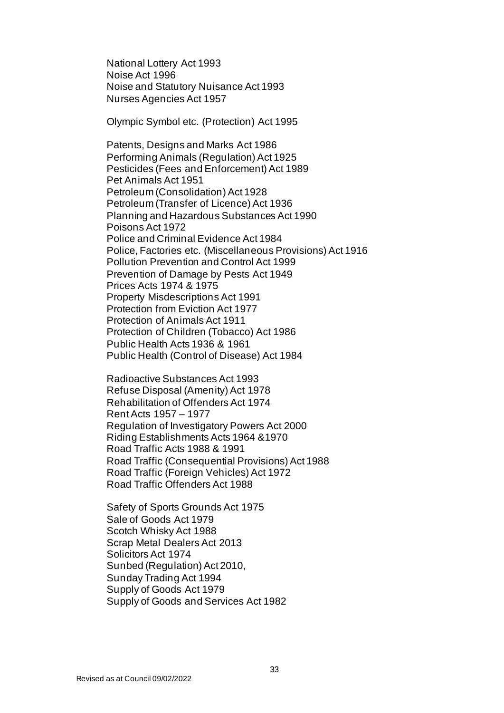National Lottery Act 1993 Noise Act 1996 Noise and Statutory Nuisance Act 1993 Nurses Agencies Act 1957

Olympic Symbol etc. (Protection) Act 1995

Patents, Designs and Marks Act 1986 Performing Animals (Regulation) Act 1925 Pesticides (Fees and Enforcement) Act 1989 Pet Animals Act 1951 Petroleum (Consolidation) Act 1928 Petroleum (Transfer of Licence) Act 1936 Planning and Hazardous Substances Act 1990 Poisons Act 1972 Police and Criminal Evidence Act 1984 Police, Factories etc. (Miscellaneous Provisions) Act 1916 Pollution Prevention and Control Act 1999 Prevention of Damage by Pests Act 1949 Prices Acts 1974 & 1975 Property Misdescriptions Act 1991 Protection from Eviction Act 1977 Protection of Animals Act 1911 Protection of Children (Tobacco) Act 1986 Public Health Acts 1936 & 1961 Public Health (Control of Disease) Act 1984

Radioactive Substances Act 1993 Refuse Disposal (Amenity) Act 1978 Rehabilitation of Offenders Act 1974 Rent Acts 1957 – 1977 Regulation of Investigatory Powers Act 2000 Riding Establishments Acts 1964 &1970 Road Traffic Acts 1988 & 1991 Road Traffic (Consequential Provisions) Act 1988 Road Traffic (Foreign Vehicles) Act 1972 Road Traffic Offenders Act 1988

Safety of Sports Grounds Act 1975 Sale of Goods Act 1979 Scotch Whisky Act 1988 Scrap Metal Dealers Act 2013 Solicitors Act 1974 Sunbed (Regulation) Act 2010, Sunday Trading Act 1994 Supply of Goods Act 1979 Supply of Goods and Services Act 1982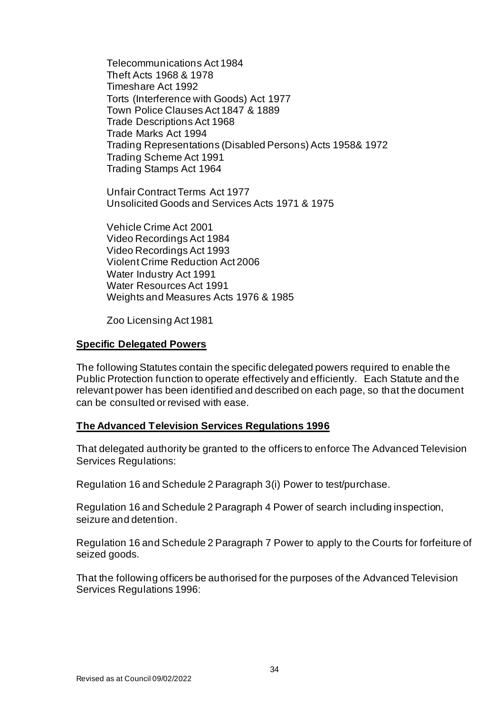Telecommunications Act 1984 Theft Acts 1968 & 1978 Timeshare Act 1992 Torts (Interference with Goods) Act 1977 Town Police Clauses Act 1847 & 1889 Trade Descriptions Act 1968 Trade Marks Act 1994 Trading Representations (Disabled Persons) Acts 1958& 1972 Trading Scheme Act 1991 Trading Stamps Act 1964

Unfair Contract Terms Act 1977 Unsolicited Goods and Services Acts 1971 & 1975

Vehicle Crime Act 2001 Video Recordings Act 1984 Video Recordings Act 1993 Violent Crime Reduction Act 2006 Water Industry Act 1991 Water Resources Act 1991 Weights and Measures Acts 1976 & 1985

Zoo Licensing Act 1981

#### **Specific Delegated Powers**

The following Statutes contain the specific delegated powers required to enable the Public Protection function to operate effectively and efficiently. Each Statute and the relevant power has been identified and described on each page, so that the document can be consulted or revised with ease.

## **The Advanced Television Services Regulations 1996**

That delegated authority be granted to the officers to enforce The Advanced Television Services Regulations:

Regulation 16 and Schedule 2 Paragraph 3(i) Power to test/purchase.

Regulation 16 and Schedule 2 Paragraph 4 Power of search including inspection, seizure and detention.

Regulation 16 and Schedule 2 Paragraph 7 Power to apply to the Courts for forfeiture of seized goods.

That the following officers be authorised for the purposes of the Advanced Television Services Regulations 1996: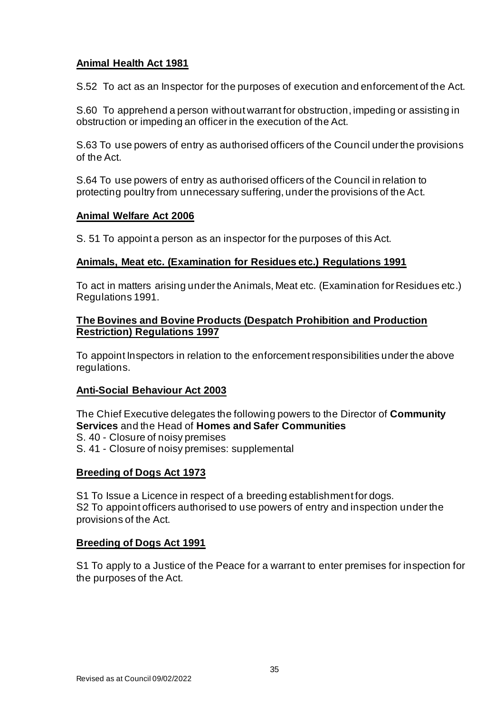## **Animal Health Act 1981**

S.52 To act as an Inspector for the purposes of execution and enforcement of the Act.

S.60 To apprehend a person without warrant for obstruction, impeding or assisting in obstruction or impeding an officer in the execution of the Act.

S.63 To use powers of entry as authorised officers of the Council under the provisions of the Act.

S.64 To use powers of entry as authorised officers of the Council in relation to protecting poultry from unnecessary suffering, under the provisions of the Act.

## **Animal Welfare Act 2006**

S. 51 To appoint a person as an inspector for the purposes of this Act.

## **Animals, Meat etc. (Examination for Residues etc.) Regulations 1991**

To act in matters arising under the Animals, Meat etc. (Examination for Residues etc.) Regulations 1991.

#### **The Bovines and Bovine Products (Despatch Prohibition and Production Restriction) Regulations 1997**

To appoint Inspectors in relation to the enforcement responsibilities under the above regulations.

## **Anti-Social Behaviour Act 2003**

The Chief Executive delegates the following powers to the Director of **Community Services** and the Head of **Homes and Safer Communities** S. 40 - Closure of noisy premises S. 41 - Closure of noisy premises: supplemental

## **Breeding of Dogs Act 1973**

S1 To Issue a Licence in respect of a breeding establishment for dogs. S2 To appoint officers authorised to use powers of entry and inspection under the provisions of the Act.

## **Breeding of Dogs Act 1991**

S1 To apply to a Justice of the Peace for a warrant to enter premises for inspection for the purposes of the Act.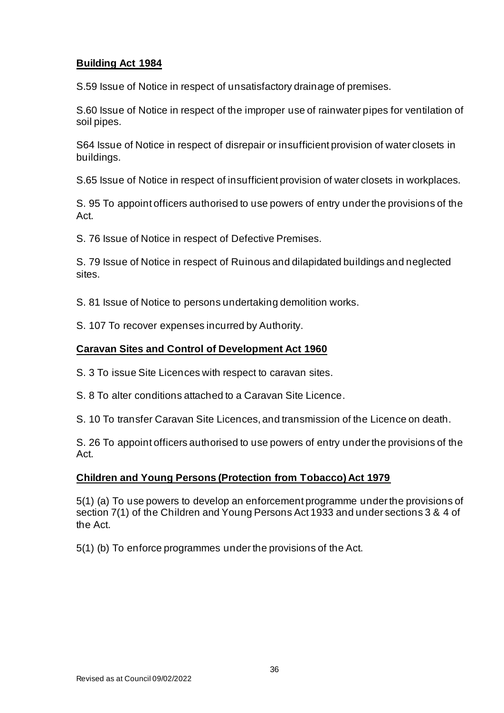## **Building Act 1984**

S.59 Issue of Notice in respect of unsatisfactory drainage of premises.

S.60 Issue of Notice in respect of the improper use of rainwater pipes for ventilation of soil pipes.

S64 Issue of Notice in respect of disrepair or insufficient provision of water closets in buildings.

S.65 Issue of Notice in respect of insufficient provision of water closets in workplaces.

S. 95 To appoint officers authorised to use powers of entry under the provisions of the Act.

S. 76 Issue of Notice in respect of Defective Premises.

S. 79 Issue of Notice in respect of Ruinous and dilapidated buildings and neglected sites.

S. 81 Issue of Notice to persons undertaking demolition works.

S. 107 To recover expenses incurred by Authority.

## **Caravan Sites and Control of Development Act 1960**

S. 3 To issue Site Licences with respect to caravan sites.

S. 8 To alter conditions attached to a Caravan Site Licence.

S. 10 To transfer Caravan Site Licences, and transmission of the Licence on death.

S. 26 To appoint officers authorised to use powers of entry under the provisions of the Act.

## **Children and Young Persons (Protection from Tobacco) Act 1979**

5(1) (a) To use powers to develop an enforcement programme under the provisions of section 7(1) of the Children and Young Persons Act 1933 and under sections 3 & 4 of the Act.

5(1) (b) To enforce programmes under the provisions of the Act.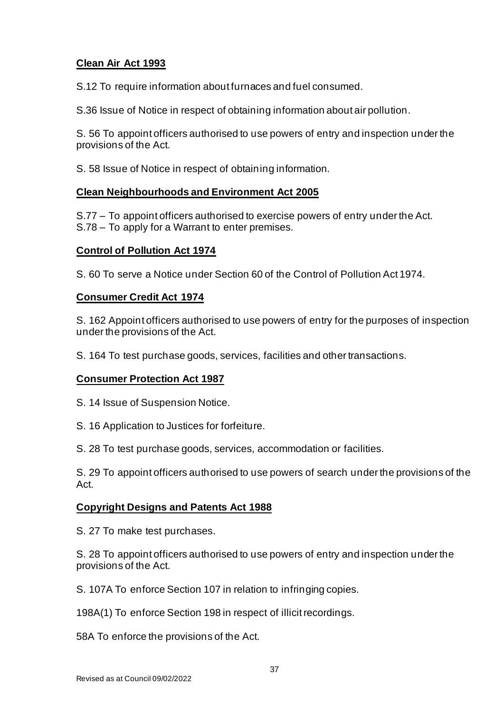# **Clean Air Act 1993**

S.12 To require information about furnaces and fuel consumed.

S.36 Issue of Notice in respect of obtaining information about air pollution.

S. 56 To appoint officers authorised to use powers of entry and inspection under the provisions of the Act.

S. 58 Issue of Notice in respect of obtaining information.

# **Clean Neighbourhoods and Environment Act 2005**

S.77 – To appoint officers authorised to exercise powers of entry under the Act. S.78 – To apply for a Warrant to enter premises.

# **Control of Pollution Act 1974**

S. 60 To serve a Notice under Section 60 of the Control of Pollution Act 1974.

# **Consumer Credit Act 1974**

S. 162 Appoint officers authorised to use powers of entry for the purposes of inspection under the provisions of the Act.

S. 164 To test purchase goods, services, facilities and other transactions.

# **Consumer Protection Act 1987**

S. 14 Issue of Suspension Notice.

- S. 16 Application to Justices for forfeiture.
- S. 28 To test purchase goods, services, accommodation or facilities.

S. 29 To appoint officers authorised to use powers of search under the provisions of the Act.

# **Copyright Designs and Patents Act 1988**

S. 27 To make test purchases.

S. 28 To appoint officers authorised to use powers of entry and inspection under the provisions of the Act.

S. 107A To enforce Section 107 in relation to infringing copies.

198A(1) To enforce Section 198 in respect of illicit recordings.

58A To enforce the provisions of the Act.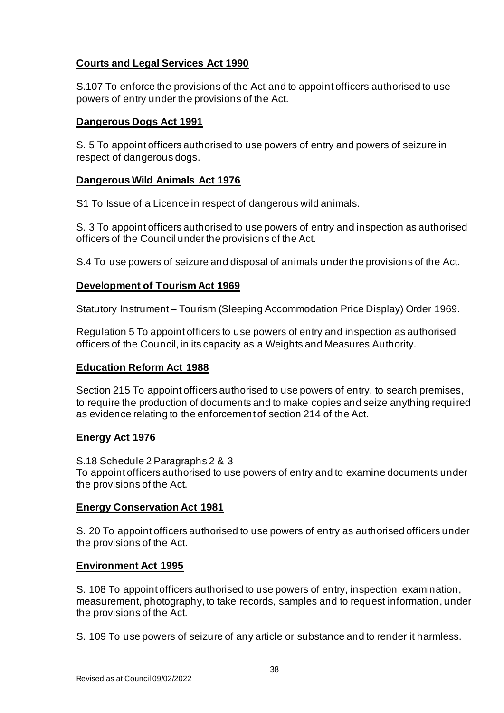# **Courts and Legal Services Act 1990**

S.107 To enforce the provisions of the Act and to appoint officers authorised to use powers of entry under the provisions of the Act.

# **Dangerous Dogs Act 1991**

S. 5 To appoint officers authorised to use powers of entry and powers of seizure in respect of dangerous dogs.

# **Dangerous Wild Animals Act 1976**

S1 To Issue of a Licence in respect of dangerous wild animals.

S. 3 To appoint officers authorised to use powers of entry and inspection as authorised officers of the Council under the provisions of the Act.

S.4 To use powers of seizure and disposal of animals under the provisions of the Act.

# **Development of Tourism Act 1969**

Statutory Instrument – Tourism (Sleeping Accommodation Price Display) Order 1969.

Regulation 5 To appoint officers to use powers of entry and inspection as authorised officers of the Council, in its capacity as a Weights and Measures Authority.

# **Education Reform Act 1988**

Section 215 To appoint officers authorised to use powers of entry, to search premises, to require the production of documents and to make copies and seize anything required as evidence relating to the enforcement of section 214 of the Act.

# **Energy Act 1976**

S.18 Schedule 2 Paragraphs 2 & 3 To appoint officers authorised to use powers of entry and to examine documents under the provisions of the Act.

# **Energy Conservation Act 1981**

S. 20 To appoint officers authorised to use powers of entry as authorised officers under the provisions of the Act.

# **Environment Act 1995**

S. 108 To appoint officers authorised to use powers of entry, inspection, examination, measurement, photography, to take records, samples and to request information, under the provisions of the Act.

S. 109 To use powers of seizure of any article or substance and to render it harmless.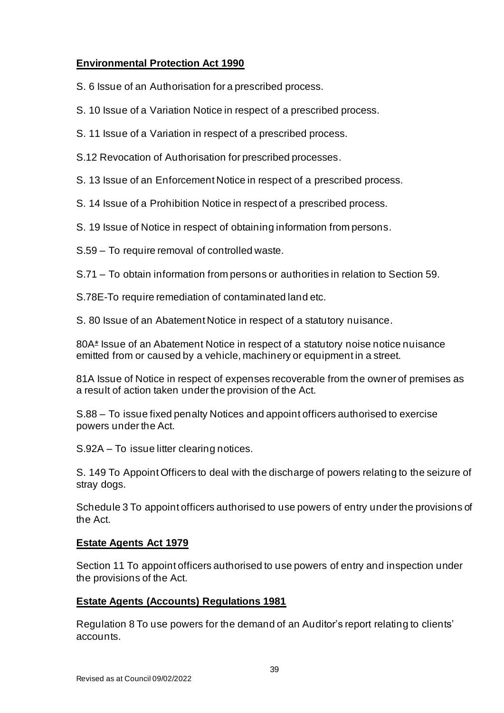# **Environmental Protection Act 1990**

S. 6 Issue of an Authorisation for a prescribed process.

- S. 10 Issue of a Variation Notice in respect of a prescribed process.
- S. 11 Issue of a Variation in respect of a prescribed process.
- S.12 Revocation of Authorisation for prescribed processes.
- S. 13 Issue of an Enforcement Notice in respect of a prescribed process.
- S. 14 Issue of a Prohibition Notice in respect of a prescribed process.
- S. 19 Issue of Notice in respect of obtaining information from persons.
- S.59 To require removal of controlled waste.
- S.71 To obtain information from persons or authorities in relation to Section 59.
- S.78E-To require remediation of contaminated land etc.
- S. 80 Issue of an Abatement Notice in respect of a statutory nuisance.

80A\* Issue of an Abatement Notice in respect of a statutory noise notice nuisance emitted from or caused by a vehicle, machinery or equipment in a street.

81A Issue of Notice in respect of expenses recoverable from the owner of premises as a result of action taken under the provision of the Act.

S.88 – To issue fixed penalty Notices and appoint officers authorised to exercise powers under the Act.

S.92A – To issue litter clearing notices.

S. 149 To Appoint Officers to deal with the discharge of powers relating to the seizure of stray dogs.

Schedule 3 To appoint officers authorised to use powers of entry under the provisions of the Act.

# **Estate Agents Act 1979**

Section 11 To appoint officers authorised to use powers of entry and inspection under the provisions of the Act.

# **Estate Agents (Accounts) Regulations 1981**

Regulation 8 To use powers for the demand of an Auditor's report relating to clients' accounts.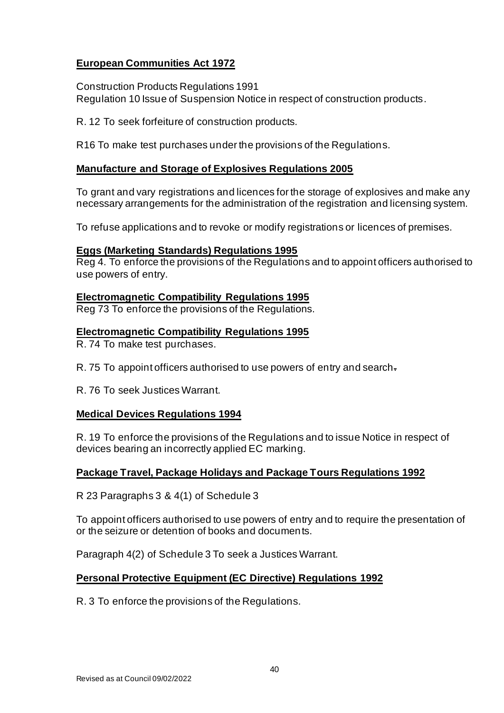# **European Communities Act 1972**

Construction Products Regulations 1991 Regulation 10 Issue of Suspension Notice in respect of construction products.

R. 12 To seek forfeiture of construction products.

R16 To make test purchases under the provisions of the Regulations.

# **Manufacture and Storage of Explosives Regulations 2005**

To grant and vary registrations and licences for the storage of explosives and make any necessary arrangements for the administration of the registration and licensing system.

To refuse applications and to revoke or modify registrations or licences of premises.

# **Eggs (Marketing Standards) Regulations 1995**

Reg 4. To enforce the provisions of the Regulations and to appoint officers authorised to use powers of entry.

# **Electromagnetic Compatibility Regulations 1995**

Reg 73 To enforce the provisions of the Regulations.

# **Electromagnetic Compatibility Regulations 1995**

R. 74 To make test purchases.

R. 75 To appoint officers authorised to use powers of entry and search.

R. 76 To seek Justices Warrant.

# **Medical Devices Regulations 1994**

R. 19 To enforce the provisions of the Regulations and to issue Notice in respect of devices bearing an incorrectly applied EC marking.

# **Package Travel, Package Holidays and Package Tours Regulations 1992**

R 23 Paragraphs 3 & 4(1) of Schedule 3

To appoint officers authorised to use powers of entry and to require the presentation of or the seizure or detention of books and documents.

Paragraph 4(2) of Schedule 3 To seek a Justices Warrant.

# **Personal Protective Equipment (EC Directive) Regulations 1992**

R. 3 To enforce the provisions of the Regulations.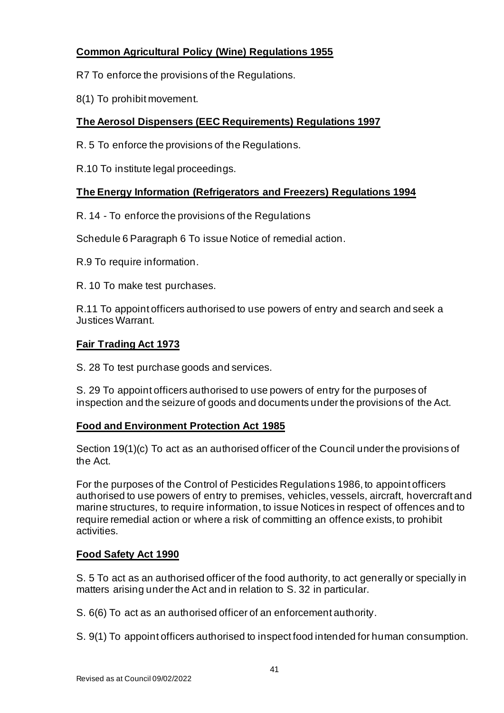# **Common Agricultural Policy (Wine) Regulations 1955**

- R7 To enforce the provisions of the Regulations.
- 8(1) To prohibit movement.

# **The Aerosol Dispensers (EEC Requirements) Regulations 1997**

- R. 5 To enforce the provisions of the Regulations.
- R.10 To institute legal proceedings.

# **The Energy Information (Refrigerators and Freezers) Regulations 1994**

R. 14 - To enforce the provisions of the Regulations

Schedule 6 Paragraph 6 To issue Notice of remedial action.

R.9 To require information.

R. 10 To make test purchases.

R.11 To appoint officers authorised to use powers of entry and search and seek a Justices Warrant.

# **Fair Trading Act 1973**

S. 28 To test purchase goods and services.

S. 29 To appoint officers authorised to use powers of entry for the purposes of inspection and the seizure of goods and documents under the provisions of the Act.

# **Food and Environment Protection Act 1985**

Section 19(1)(c) To act as an authorised officer of the Council under the provisions of the Act.

For the purposes of the Control of Pesticides Regulations 1986, to appoint officers authorised to use powers of entry to premises, vehicles, vessels, aircraft, hovercraft and marine structures, to require information, to issue Notices in respect of offences and to require remedial action or where a risk of committing an offence exists, to prohibit activities.

# **Food Safety Act 1990**

S. 5 To act as an authorised officer of the food authority, to act generally or specially in matters arising under the Act and in relation to S. 32 in particular.

S. 6(6) To act as an authorised officer of an enforcement authority.

S. 9(1) To appoint officers authorised to inspect food intended for human consumption.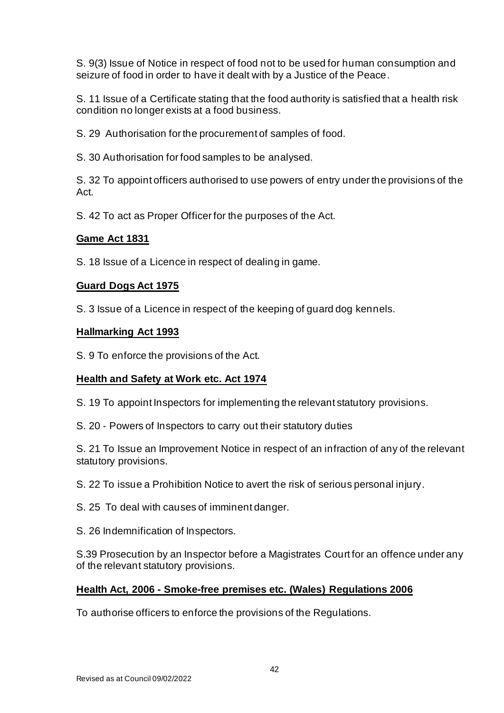S. 9(3) Issue of Notice in respect of food not to be used for human consumption and seizure of food in order to have it dealt with by a Justice of the Peace.

S. 11 Issue of a Certificate stating that the food authority is satisfied that a health risk condition no longer exists at a food business.

S. 29 Authorisation for the procurement of samples of food.

S. 30 Authorisation for food samples to be analysed.

S. 32 To appoint officers authorised to use powers of entry under the provisions of the Act.

S. 42 To act as Proper Officer for the purposes of the Act.

# **Game Act 1831**

S. 18 Issue of a Licence in respect of dealing in game.

# **Guard Dogs Act 1975**

S. 3 Issue of a Licence in respect of the keeping of guard dog kennels.

#### **Hallmarking Act 1993**

S. 9 To enforce the provisions of the Act.

# **Health and Safety at Work etc. Act 1974**

- S. 19 To appoint Inspectors for implementing the relevant statutory provisions.
- S. 20 Powers of Inspectors to carry out their statutory duties

S. 21 To Issue an Improvement Notice in respect of an infraction of any of the relevant statutory provisions.

- S. 22 To issue a Prohibition Notice to avert the risk of serious personal injury.
- S. 25 To deal with causes of imminent danger.
- S. 26 Indemnification of Inspectors.

S.39 Prosecution by an Inspector before a Magistrates Court for an offence under any of the relevant statutory provisions.

# **Health Act, 2006 - Smoke-free premises etc. (Wales) Regulations 2006**

To authorise officers to enforce the provisions of the Regulations.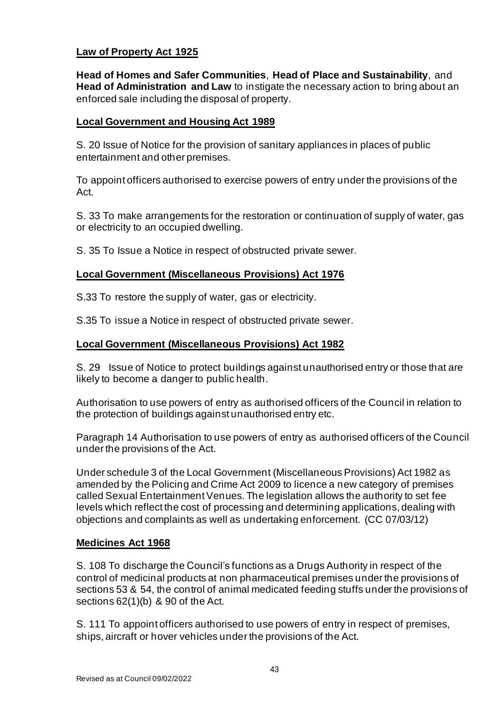# **Law of Property Act 1925**

**Head of Homes and Safer Communities**, **Head of Place and Sustainability**, and **Head of Administration and Law** to instigate the necessary action to bring about an enforced sale including the disposal of property.

# **Local Government and Housing Act 1989**

S. 20 Issue of Notice for the provision of sanitary appliances in places of public entertainment and other premises.

To appoint officers authorised to exercise powers of entry under the provisions of the Act.

S. 33 To make arrangements for the restoration or continuation of supply of water, gas or electricity to an occupied dwelling.

S. 35 To Issue a Notice in respect of obstructed private sewer.

# **Local Government (Miscellaneous Provisions) Act 1976**

S.33 To restore the supply of water, gas or electricity.

S.35 To issue a Notice in respect of obstructed private sewer.

# **Local Government (Miscellaneous Provisions) Act 1982**

S. 29 Issue of Notice to protect buildings against unauthorised entry or those that are likely to become a danger to public health.

Authorisation to use powers of entry as authorised officers of the Council in relation to the protection of buildings against unauthorised entry etc.

Paragraph 14 Authorisation to use powers of entry as authorised officers of the Council under the provisions of the Act.

Under schedule 3 of the Local Government (Miscellaneous Provisions) Act 1982 as amended by the Policing and Crime Act 2009 to licence a new category of premises called Sexual Entertainment Venues. The legislation allows the authority to set fee levels which reflect the cost of processing and determining applications, dealing with objections and complaints as well as undertaking enforcement. (CC 07/03/12)

# **Medicines Act 1968**

S. 108 To discharge the Council's functions as a Drugs Authority in respect of the control of medicinal products at non pharmaceutical premises under the provisions of sections 53 & 54, the control of animal medicated feeding stuffs under the provisions of sections 62(1)(b) & 90 of the Act.

S. 111 To appoint officers authorised to use powers of entry in respect of premises, ships, aircraft or hover vehicles under the provisions of the Act.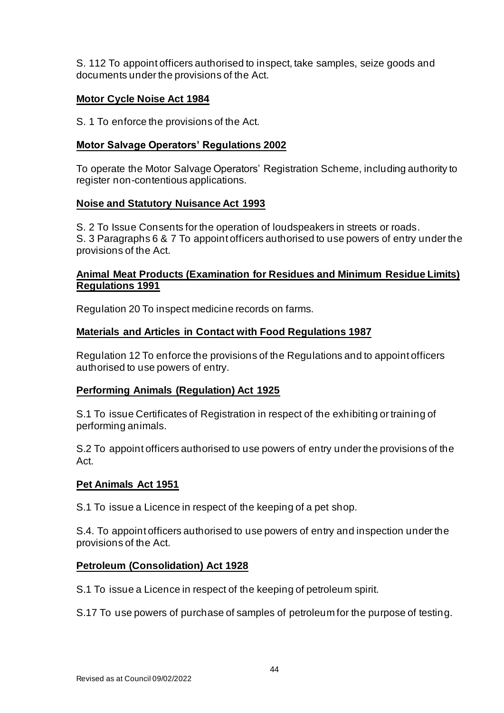S. 112 To appoint officers authorised to inspect, take samples, seize goods and documents under the provisions of the Act.

# **Motor Cycle Noise Act 1984**

S. 1 To enforce the provisions of the Act.

# **Motor Salvage Operators' Regulations 2002**

To operate the Motor Salvage Operators' Registration Scheme, including authority to register non-contentious applications.

# **Noise and Statutory Nuisance Act 1993**

S. 2 To Issue Consents for the operation of loudspeakers in streets or roads. S. 3 Paragraphs 6 & 7 To appoint officers authorised to use powers of entry under the provisions of the Act.

# **Animal Meat Products (Examination for Residues and Minimum Residue Limits) Regulations 1991**

Regulation 20 To inspect medicine records on farms.

# **Materials and Articles in Contact with Food Regulations 1987**

Regulation 12 To enforce the provisions of the Regulations and to appoint officers authorised to use powers of entry.

# **Performing Animals (Regulation) Act 1925**

S.1 To issue Certificates of Registration in respect of the exhibiting or training of performing animals.

S.2 To appoint officers authorised to use powers of entry under the provisions of the Act.

# **Pet Animals Act 1951**

S.1 To issue a Licence in respect of the keeping of a pet shop.

S.4. To appoint officers authorised to use powers of entry and inspection under the provisions of the Act.

# **Petroleum (Consolidation) Act 1928**

S.1 To issue a Licence in respect of the keeping of petroleum spirit.

S.17 To use powers of purchase of samples of petroleum for the purpose of testing.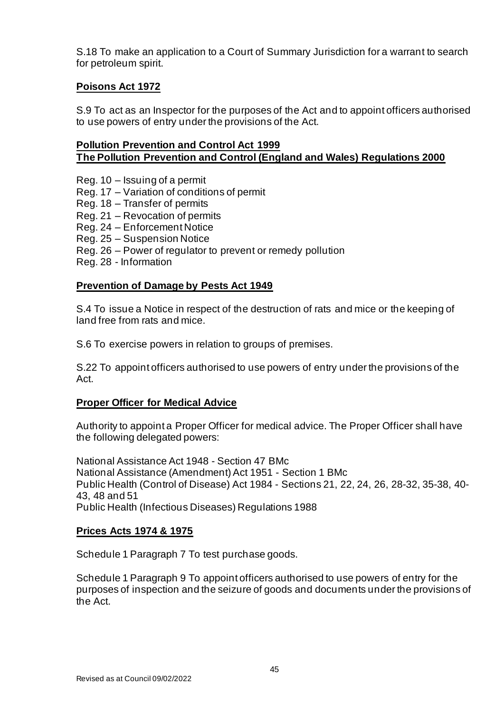S.18 To make an application to a Court of Summary Jurisdiction for a warrant to search for petroleum spirit.

# **Poisons Act 1972**

S.9 To act as an Inspector for the purposes of the Act and to appoint officers authorised to use powers of entry under the provisions of the Act.

# **Pollution Prevention and Control Act 1999 The Pollution Prevention and Control (England and Wales) Regulations 2000**

- Reg. 10 Issuing of a permit
- Reg. 17 Variation of conditions of permit
- Reg. 18 Transfer of permits
- Reg. 21 Revocation of permits
- Reg. 24 Enforcement Notice
- Reg. 25 Suspension Notice
- Reg. 26 Power of regulator to prevent or remedy pollution
- Reg. 28 Information

# **Prevention of Damage by Pests Act 1949**

S.4 To issue a Notice in respect of the destruction of rats and mice or the keeping of land free from rats and mice.

S.6 To exercise powers in relation to groups of premises.

S.22 To appoint officers authorised to use powers of entry under the provisions of the Act.

# **Proper Officer for Medical Advice**

Authority to appoint a Proper Officer for medical advice. The Proper Officer shall have the following delegated powers:

National Assistance Act 1948 - Section 47 BMc National Assistance (Amendment) Act 1951 - Section 1 BMc Public Health (Control of Disease) Act 1984 - Sections 21, 22, 24, 26, 28-32, 35-38, 40- 43, 48 and 51 Public Health (Infectious Diseases) Regulations 1988

# **Prices Acts 1974 & 1975**

Schedule 1 Paragraph 7 To test purchase goods.

Schedule 1 Paragraph 9 To appoint officers authorised to use powers of entry for the purposes of inspection and the seizure of goods and documents under the provisions of the Act.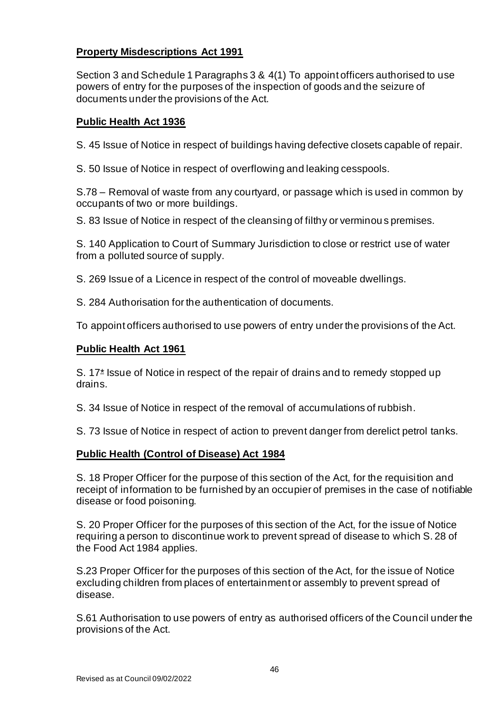# **Property Misdescriptions Act 1991**

Section 3 and Schedule 1 Paragraphs 3 & 4(1) To appoint officers authorised to use powers of entry for the purposes of the inspection of goods and the seizure of documents under the provisions of the Act.

# **Public Health Act 1936**

S. 45 Issue of Notice in respect of buildings having defective closets capable of repair.

S. 50 Issue of Notice in respect of overflowing and leaking cesspools.

S.78 – Removal of waste from any courtyard, or passage which is used in common by occupants of two or more buildings.

S. 83 Issue of Notice in respect of the cleansing of filthy or verminous premises.

S. 140 Application to Court of Summary Jurisdiction to close or restrict use of water from a polluted source of supply.

S. 269 Issue of a Licence in respect of the control of moveable dwellings.

S. 284 Authorisation for the authentication of documents.

To appoint officers authorised to use powers of entry under the provisions of the Act.

# **Public Health Act 1961**

S. 17\* Issue of Notice in respect of the repair of drains and to remedy stopped up drains.

S. 34 Issue of Notice in respect of the removal of accumulations of rubbish.

S. 73 Issue of Notice in respect of action to prevent danger from derelict petrol tanks.

# **Public Health (Control of Disease) Act 1984**

S. 18 Proper Officer for the purpose of this section of the Act, for the requisition and receipt of information to be furnished by an occupier of premises in the case of notifiable disease or food poisoning.

S. 20 Proper Officer for the purposes of this section of the Act, for the issue of Notice requiring a person to discontinue work to prevent spread of disease to which S. 28 of the Food Act 1984 applies.

S.23 Proper Officer for the purposes of this section of the Act, for the issue of Notice excluding children from places of entertainment or assembly to prevent spread of disease.

S.61 Authorisation to use powers of entry as authorised officers of the Council under the provisions of the Act.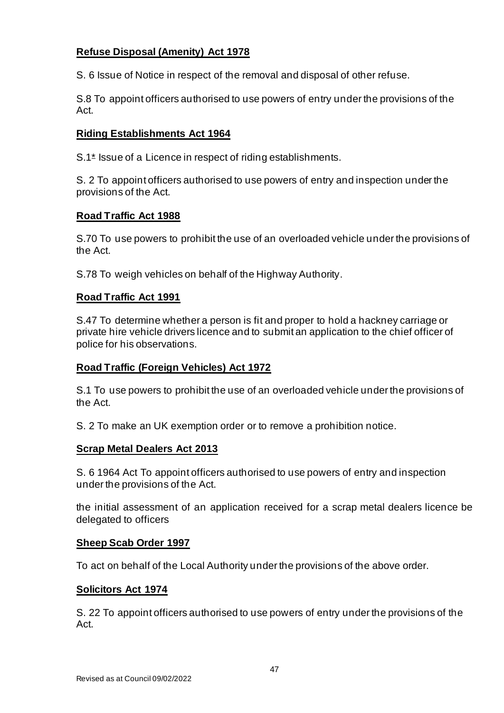# **Refuse Disposal (Amenity) Act 1978**

S. 6 Issue of Notice in respect of the removal and disposal of other refuse.

S.8 To appoint officers authorised to use powers of entry under the provisions of the Act.

# **Riding Establishments Act 1964**

S.1<sup>\*</sup> Issue of a Licence in respect of riding establishments.

S. 2 To appoint officers authorised to use powers of entry and inspection under the provisions of the Act.

# **Road Traffic Act 1988**

S.70 To use powers to prohibit the use of an overloaded vehicle under the provisions of the Act.

S.78 To weigh vehicles on behalf of the Highway Authority.

# **Road Traffic Act 1991**

S.47 To determine whether a person is fit and proper to hold a hackney carriage or private hire vehicle drivers licence and to submit an application to the chief officer of police for his observations.

# **Road Traffic (Foreign Vehicles) Act 1972**

S.1 To use powers to prohibit the use of an overloaded vehicle under the provisions of the Act.

S. 2 To make an UK exemption order or to remove a prohibition notice.

# **Scrap Metal Dealers Act 2013**

S. 6 1964 Act To appoint officers authorised to use powers of entry and inspection under the provisions of the Act.

the initial assessment of an application received for a scrap metal dealers licence be delegated to officers

# **Sheep Scab Order 1997**

To act on behalf of the Local Authority under the provisions of the above order.

# **Solicitors Act 1974**

S. 22 To appoint officers authorised to use powers of entry under the provisions of the Act.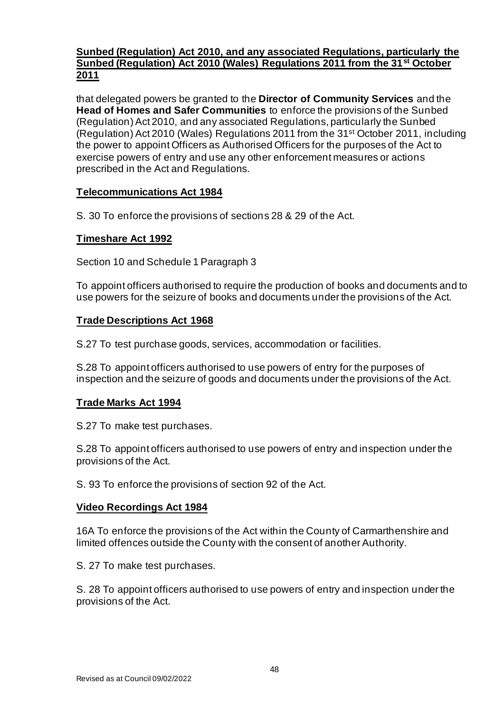# **Sunbed (Regulation) Act 2010, and any associated Regulations, particularly the Sunbed (Regulation) Act 2010 (Wales) Regulations 2011 from the 31st October 2011**

that delegated powers be granted to the **Director of Community Services** and the **Head of Homes and Safer Communities** to enforce the provisions of the Sunbed (Regulation) Act 2010, and any associated Regulations, particularly the Sunbed (Regulation) Act 2010 (Wales) Regulations 2011 from the 31st October 2011, including the power to appoint Officers as Authorised Officers for the purposes of the Act to exercise powers of entry and use any other enforcement measures or actions prescribed in the Act and Regulations.

# **Telecommunications Act 1984**

S. 30 To enforce the provisions of sections 28 & 29 of the Act.

# **Timeshare Act 1992**

Section 10 and Schedule 1 Paragraph 3

To appoint officers authorised to require the production of books and documents and to use powers for the seizure of books and documents under the provisions of the Act.

# **Trade Descriptions Act 1968**

S.27 To test purchase goods, services, accommodation or facilities.

S.28 To appoint officers authorised to use powers of entry for the purposes of inspection and the seizure of goods and documents under the provisions of the Act.

# **Trade Marks Act 1994**

S.27 To make test purchases.

S.28 To appoint officers authorised to use powers of entry and inspection under the provisions of the Act.

S. 93 To enforce the provisions of section 92 of the Act.

# **Video Recordings Act 1984**

16A To enforce the provisions of the Act within the County of Carmarthenshire and limited offences outside the County with the consent of another Authority.

S. 27 To make test purchases.

S. 28 To appoint officers authorised to use powers of entry and inspection under the provisions of the Act.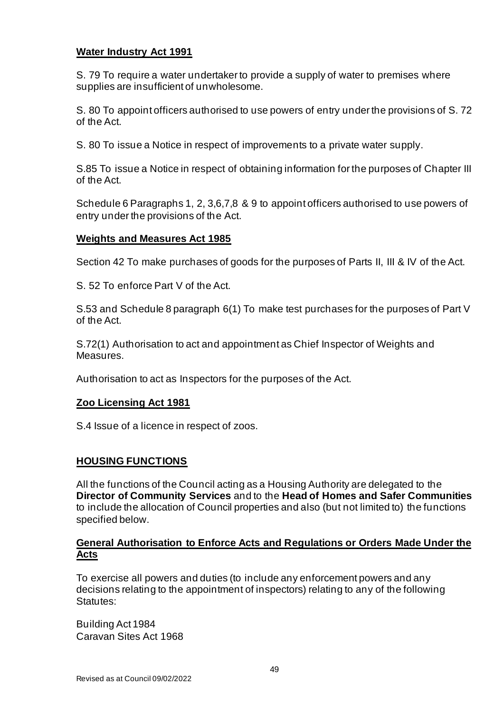# **Water Industry Act 1991**

S. 79 To require a water undertaker to provide a supply of water to premises where supplies are insufficient of unwholesome.

S. 80 To appoint officers authorised to use powers of entry under the provisions of S. 72 of the Act.

S. 80 To issue a Notice in respect of improvements to a private water supply.

S.85 To issue a Notice in respect of obtaining information for the purposes of Chapter III of the Act.

Schedule 6 Paragraphs 1, 2, 3,6,7,8 & 9 to appoint officers authorised to use powers of entry under the provisions of the Act.

#### **Weights and Measures Act 1985**

Section 42 To make purchases of goods for the purposes of Parts II, III & IV of the Act.

S. 52 To enforce Part V of the Act.

S.53 and Schedule 8 paragraph 6(1) To make test purchases for the purposes of Part V of the Act.

S.72(1) Authorisation to act and appointment as Chief Inspector of Weights and Measures.

Authorisation to act as Inspectors for the purposes of the Act.

#### **Zoo Licensing Act 1981**

S.4 Issue of a licence in respect of zoos.

# **HOUSING FUNCTIONS**

All the functions of the Council acting as a Housing Authority are delegated to the **Director of Community Services** and to the **Head of Homes and Safer Communities** to include the allocation of Council properties and also (but not limited to) the functions specified below.

#### **General Authorisation to Enforce Acts and Regulations or Orders Made Under the Acts**

To exercise all powers and duties (to include any enforcement powers and any decisions relating to the appointment of inspectors) relating to any of the following Statutes:

Building Act 1984 Caravan Sites Act 1968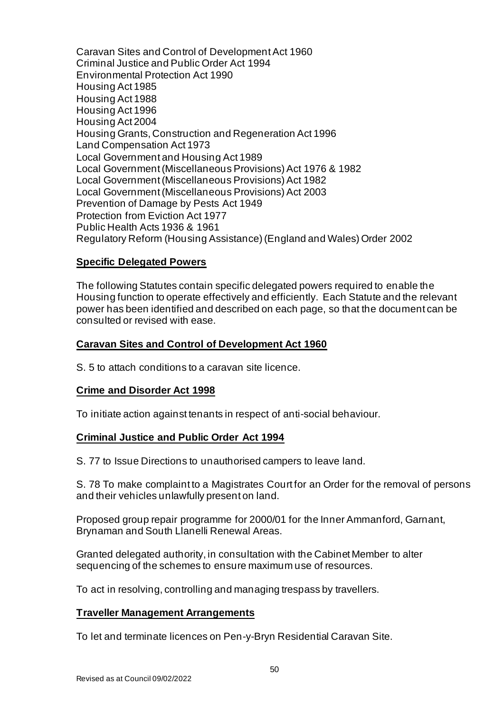Caravan Sites and Control of Development Act 1960 Criminal Justice and Public Order Act 1994 Environmental Protection Act 1990 Housing Act 1985 Housing Act 1988 Housing Act 1996 Housing Act 2004 Housing Grants, Construction and Regeneration Act 1996 Land Compensation Act 1973 Local Government and Housing Act 1989 Local Government (Miscellaneous Provisions) Act 1976 & 1982 Local Government (Miscellaneous Provisions) Act 1982 Local Government (Miscellaneous Provisions) Act 2003 Prevention of Damage by Pests Act 1949 Protection from Eviction Act 1977 Public Health Acts 1936 & 1961 Regulatory Reform (Housing Assistance) (England and Wales) Order 2002

# **Specific Delegated Powers**

The following Statutes contain specific delegated powers required to enable the Housing function to operate effectively and efficiently. Each Statute and the relevant power has been identified and described on each page, so that the document can be consulted or revised with ease.

# **Caravan Sites and Control of Development Act 1960**

S. 5 to attach conditions to a caravan site licence.

# **Crime and Disorder Act 1998**

To initiate action against tenants in respect of anti-social behaviour.

# **Criminal Justice and Public Order Act 1994**

S. 77 to Issue Directions to unauthorised campers to leave land.

S. 78 To make complaint to a Magistrates Court for an Order for the removal of persons and their vehicles unlawfully present on land.

Proposed group repair programme for 2000/01 for the Inner Ammanford, Garnant, Brynaman and South Llanelli Renewal Areas.

Granted delegated authority, in consultation with the Cabinet Member to alter sequencing of the schemes to ensure maximum use of resources.

To act in resolving, controlling and managing trespass by travellers.

#### **Traveller Management Arrangements**

To let and terminate licences on Pen-y-Bryn Residential Caravan Site.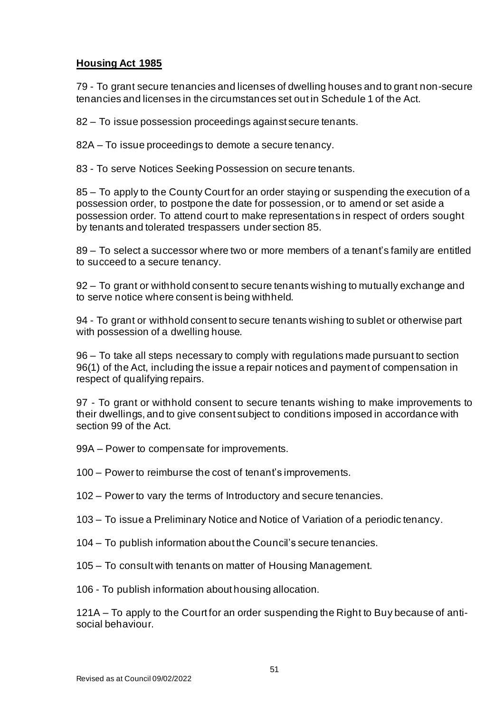# **Housing Act 1985**

79 - To grant secure tenancies and licenses of dwelling houses and to grant non-secure tenancies and licenses in the circumstances set out in Schedule 1 of the Act.

82 – To issue possession proceedings against secure tenants.

82A – To issue proceedings to demote a secure tenancy.

83 - To serve Notices Seeking Possession on secure tenants.

85 – To apply to the County Court for an order staying or suspending the execution of a possession order, to postpone the date for possession, or to amend or set aside a possession order. To attend court to make representations in respect of orders sought by tenants and tolerated trespassers under section 85.

89 – To select a successor where two or more members of a tenant's family are entitled to succeed to a secure tenancy.

92 – To grant or withhold consent to secure tenants wishing to mutually exchange and to serve notice where consent is being withheld.

94 - To grant or withhold consent to secure tenants wishing to sublet or otherwise part with possession of a dwelling house.

96 – To take all steps necessary to comply with regulations made pursuant to section 96(1) of the Act, including the issue a repair notices and payment of compensation in respect of qualifying repairs.

97 - To grant or withhold consent to secure tenants wishing to make improvements to their dwellings, and to give consent subject to conditions imposed in accordance with section 99 of the Act.

- 99A Power to compensate for improvements.
- 100 Power to reimburse the cost of tenant's improvements.
- 102 Power to vary the terms of Introductory and secure tenancies.
- 103 To issue a Preliminary Notice and Notice of Variation of a periodic tenancy.
- 104 To publish information about the Council's secure tenancies.
- 105 To consult with tenants on matter of Housing Management.
- 106 To publish information about housing allocation.

121A – To apply to the Court for an order suspending the Right to Buy because of antisocial behaviour.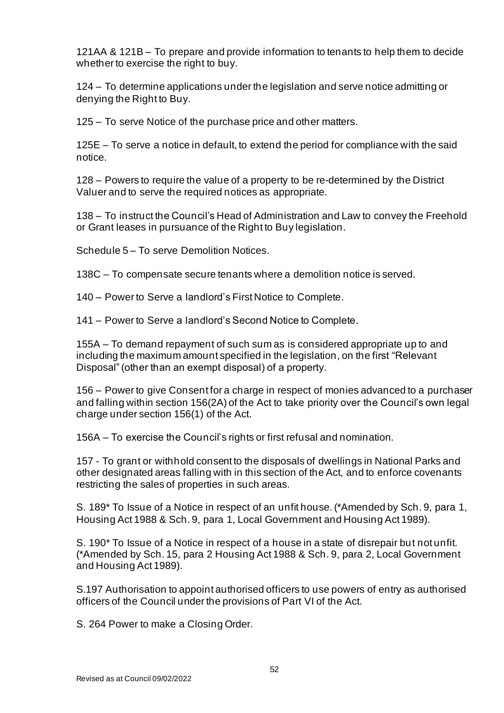121AA & 121B – To prepare and provide information to tenants to help them to decide whether to exercise the right to buy.

124 – To determine applications under the legislation and serve notice admitting or denying the Right to Buy.

125 – To serve Notice of the purchase price and other matters.

125E – To serve a notice in default, to extend the period for compliance with the said notice.

128 – Powers to require the value of a property to be re-determined by the District Valuer and to serve the required notices as appropriate.

138 – To instruct the Council's Head of Administration and Law to convey the Freehold or Grant leases in pursuance of the Right to Buy legislation.

Schedule 5 – To serve Demolition Notices.

138C – To compensate secure tenants where a demolition notice is served.

140 – Power to Serve a landlord's First Notice to Complete.

141 – Power to Serve a landlord's Second Notice to Complete.

155A – To demand repayment of such sum as is considered appropriate up to and including the maximum amount specified in the legislation, on the first "Relevant Disposal" (other than an exempt disposal) of a property.

156 – Power to give Consent for a charge in respect of monies advanced to a purchaser and falling within section 156(2A) of the Act to take priority over the Council's own legal charge under section 156(1) of the Act.

156A – To exercise the Council's rights or first refusal and nomination.

157 - To grant or withhold consent to the disposals of dwellings in National Parks and other designated areas falling with in this section of the Act, and to enforce covenants restricting the sales of properties in such areas.

S. 189\* To Issue of a Notice in respect of an unfit house. (\*Amended by Sch. 9, para 1, Housing Act 1988 & Sch. 9, para 1, Local Government and Housing Act 1989).

S. 190\* To Issue of a Notice in respect of a house in a state of disrepair but not unfit. (\*Amended by Sch. 15, para 2 Housing Act 1988 & Sch. 9, para 2, Local Government and Housing Act 1989).

S.197 Authorisation to appoint authorised officers to use powers of entry as authorised officers of the Council under the provisions of Part VI of the Act.

S. 264 Power to make a Closing Order.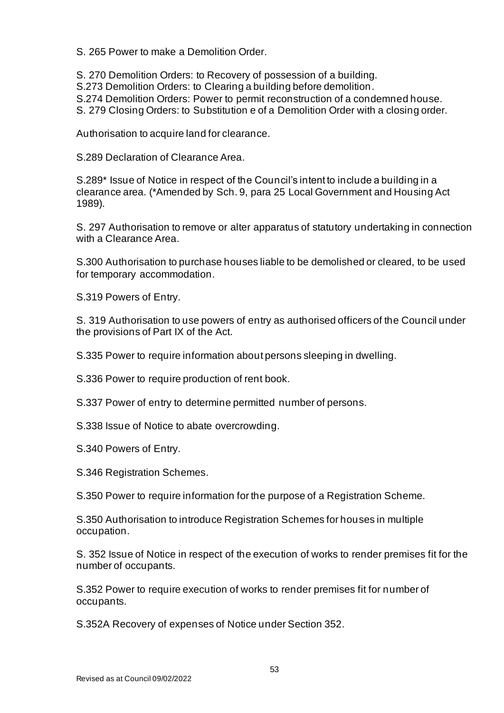S. 265 Power to make a Demolition Order.

S. 270 Demolition Orders: to Recovery of possession of a building.

S.273 Demolition Orders: to Clearing a building before demolition.

S.274 Demolition Orders: Power to permit reconstruction of a condemned house.

S. 279 Closing Orders: to Substitution e of a Demolition Order with a closing order.

Authorisation to acquire land for clearance.

S.289 Declaration of Clearance Area.

S.289\* Issue of Notice in respect of the Council's intent to include a building in a clearance area. (\*Amended by Sch. 9, para 25 Local Government and Housing Act 1989).

S. 297 Authorisation to remove or alter apparatus of statutory undertaking in connection with a Clearance Area.

S.300 Authorisation to purchase houses liable to be demolished or cleared, to be used for temporary accommodation.

S.319 Powers of Entry.

S. 319 Authorisation to use powers of entry as authorised officers of the Council under the provisions of Part IX of the Act.

S.335 Power to require information about persons sleeping in dwelling.

S.336 Power to require production of rent book.

S.337 Power of entry to determine permitted number of persons.

S.338 Issue of Notice to abate overcrowding.

S.340 Powers of Entry.

S.346 Registration Schemes.

S.350 Power to require information for the purpose of a Registration Scheme.

S.350 Authorisation to introduce Registration Schemes for houses in multiple occupation.

S. 352 Issue of Notice in respect of the execution of works to render premises fit for the number of occupants.

S.352 Power to require execution of works to render premises fit for number of occupants.

S.352A Recovery of expenses of Notice under Section 352.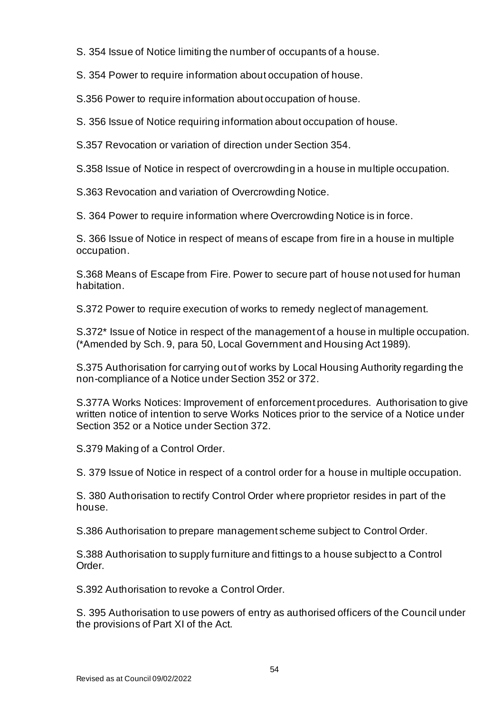S. 354 Issue of Notice limiting the number of occupants of a house.

S. 354 Power to require information about occupation of house.

S.356 Power to require information about occupation of house.

S. 356 Issue of Notice requiring information about occupation of house.

S.357 Revocation or variation of direction under Section 354.

S.358 Issue of Notice in respect of overcrowding in a house in multiple occupation.

S.363 Revocation and variation of Overcrowding Notice.

S. 364 Power to require information where Overcrowding Notice is in force.

S. 366 Issue of Notice in respect of means of escape from fire in a house in multiple occupation.

S.368 Means of Escape from Fire. Power to secure part of house not used for human habitation.

S.372 Power to require execution of works to remedy neglect of management.

S.372\* Issue of Notice in respect of the management of a house in multiple occupation. (\*Amended by Sch. 9, para 50, Local Government and Housing Act 1989).

S.375 Authorisation for carrying out of works by Local Housing Authority regarding the non-compliance of a Notice under Section 352 or 372.

S.377A Works Notices: Improvement of enforcement procedures. Authorisation to give written notice of intention to serve Works Notices prior to the service of a Notice under Section 352 or a Notice under Section 372.

S.379 Making of a Control Order.

S. 379 Issue of Notice in respect of a control order for a house in multiple occupation.

S. 380 Authorisation to rectify Control Order where proprietor resides in part of the house.

S.386 Authorisation to prepare management scheme subject to Control Order.

S.388 Authorisation to supply furniture and fittings to a house subject to a Control Order.

S.392 Authorisation to revoke a Control Order.

S. 395 Authorisation to use powers of entry as authorised officers of the Council under the provisions of Part XI of the Act.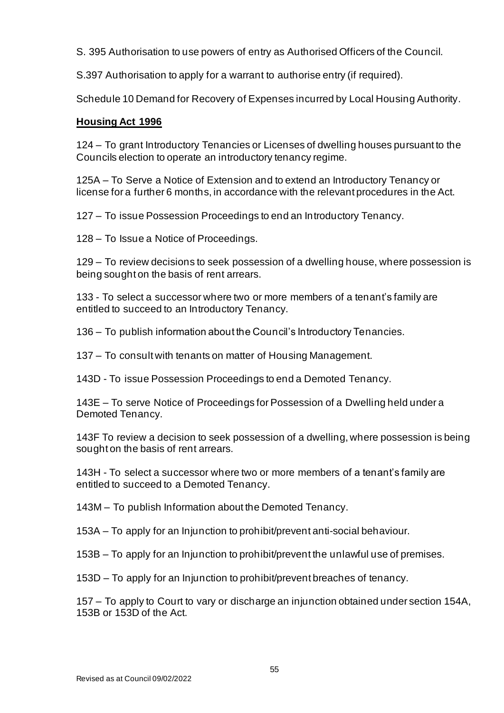S. 395 Authorisation to use powers of entry as Authorised Officers of the Council.

S.397 Authorisation to apply for a warrant to authorise entry (if required).

Schedule 10 Demand for Recovery of Expenses incurred by Local Housing Authority.

# **Housing Act 1996**

124 – To grant Introductory Tenancies or Licenses of dwelling houses pursuant to the Councils election to operate an introductory tenancy regime.

125A – To Serve a Notice of Extension and to extend an Introductory Tenancy or license for a further 6 months, in accordance with the relevant procedures in the Act.

127 – To issue Possession Proceedings to end an Introductory Tenancy.

128 – To Issue a Notice of Proceedings.

129 – To review decisions to seek possession of a dwelling house, where possession is being sought on the basis of rent arrears.

133 - To select a successor where two or more members of a tenant's family are entitled to succeed to an Introductory Tenancy.

136 – To publish information about the Council's Introductory Tenancies.

137 – To consult with tenants on matter of Housing Management.

143D - To issue Possession Proceedings to end a Demoted Tenancy.

143E – To serve Notice of Proceedings for Possession of a Dwelling held under a Demoted Tenancy.

143F To review a decision to seek possession of a dwelling, where possession is being sought on the basis of rent arrears.

143H - To select a successor where two or more members of a tenant's family are entitled to succeed to a Demoted Tenancy.

143M – To publish Information about the Demoted Tenancy.

153A – To apply for an Injunction to prohibit/prevent anti-social behaviour.

153B – To apply for an Injunction to prohibit/prevent the unlawful use of premises.

153D – To apply for an Injunction to prohibit/prevent breaches of tenancy.

157 – To apply to Court to vary or discharge an injunction obtained under section 154A, 153B or 153D of the Act.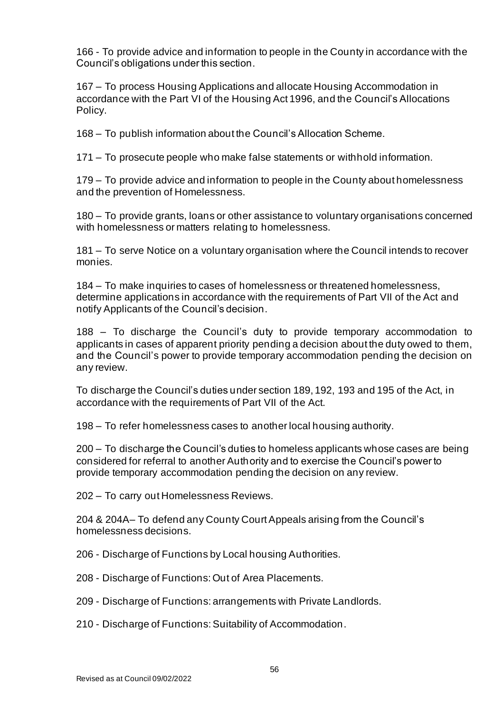166 - To provide advice and information to people in the County in accordance with the Council's obligations under this section.

167 – To process Housing Applications and allocate Housing Accommodation in accordance with the Part VI of the Housing Act 1996, and the Council's Allocations Policy.

168 – To publish information about the Council's Allocation Scheme.

171 – To prosecute people who make false statements or withhold information.

179 – To provide advice and information to people in the County about homelessness and the prevention of Homelessness.

180 – To provide grants, loans or other assistance to voluntary organisations concerned with homelessness or matters relating to homelessness.

181 – To serve Notice on a voluntary organisation where the Council intends to recover monies.

184 – To make inquiries to cases of homelessness or threatened homelessness, determine applications in accordance with the requirements of Part VII of the Act and notify Applicants of the Council's decision.

188 – To discharge the Council's duty to provide temporary accommodation to applicants in cases of apparent priority pending a decision about the duty owed to them, and the Council's power to provide temporary accommodation pending the decision on any review.

To discharge the Council's duties under section 189, 192, 193 and 195 of the Act, in accordance with the requirements of Part VII of the Act.

198 – To refer homelessness cases to another local housing authority.

200 – To discharge the Council's duties to homeless applicants whose cases are being considered for referral to another Authority and to exercise the Council's power to provide temporary accommodation pending the decision on any review.

202 – To carry out Homelessness Reviews.

204 & 204A– To defend any County Court Appeals arising from the Council's homelessness decisions.

206 - Discharge of Functions by Local housing Authorities.

- 208 Discharge of Functions: Out of Area Placements.
- 209 Discharge of Functions: arrangements with Private Landlords.
- 210 Discharge of Functions: Suitability of Accommodation.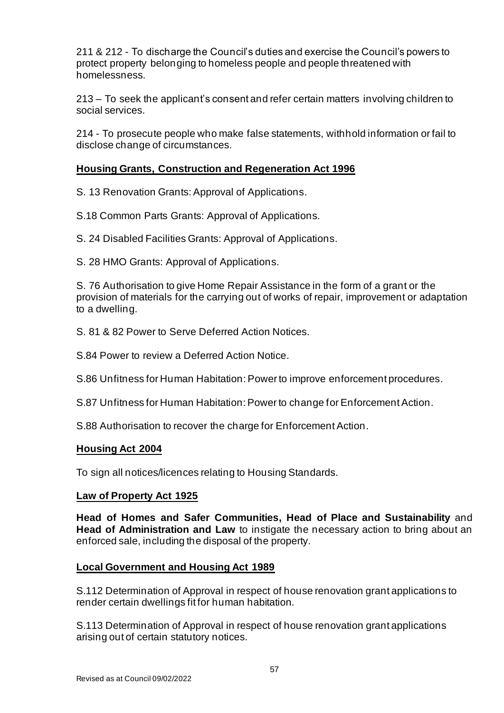211 & 212 - To discharge the Council's duties and exercise the Council's powers to protect property belonging to homeless people and people threatened with homelessness.

213 – To seek the applicant's consent and refer certain matters involving children to social services.

214 - To prosecute people who make false statements, withhold information or fail to disclose change of circumstances.

# **Housing Grants, Construction and Regeneration Act 1996**

- S. 13 Renovation Grants: Approval of Applications.
- S.18 Common Parts Grants: Approval of Applications.
- S. 24 Disabled Facilities Grants: Approval of Applications.
- S. 28 HMO Grants: Approval of Applications.

S. 76 Authorisation to give Home Repair Assistance in the form of a grant or the provision of materials for the carrying out of works of repair, improvement or adaptation to a dwelling.

- S. 81 & 82 Power to Serve Deferred Action Notices.
- S.84 Power to review a Deferred Action Notice.
- S.86 Unfitness for Human Habitation: Power to improve enforcement procedures.
- S.87 Unfitness for Human Habitation: Power to change for Enforcement Action.
- S.88 Authorisation to recover the charge for Enforcement Action.

# **Housing Act 2004**

To sign all notices/licences relating to Housing Standards.

# **Law of Property Act 1925**

**Head of Homes and Safer Communities, Head of Place and Sustainability** and **Head of Administration and Law** to instigate the necessary action to bring about an enforced sale, including the disposal of the property.

# **Local Government and Housing Act 1989**

S.112 Determination of Approval in respect of house renovation grant applications to render certain dwellings fit for human habitation.

S.113 Determination of Approval in respect of house renovation grant applications arising out of certain statutory notices.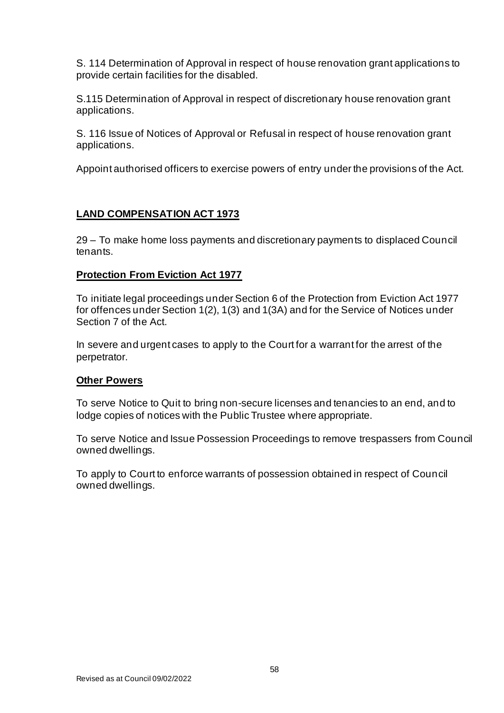S. 114 Determination of Approval in respect of house renovation grant applications to provide certain facilities for the disabled.

S.115 Determination of Approval in respect of discretionary house renovation grant applications.

S. 116 Issue of Notices of Approval or Refusal in respect of house renovation grant applications.

Appoint authorised officers to exercise powers of entry under the provisions of the Act.

# **LAND COMPENSATION ACT 1973**

29 – To make home loss payments and discretionary payments to displaced Council tenants.

# **Protection From Eviction Act 1977**

To initiate legal proceedings under Section 6 of the Protection from Eviction Act 1977 for offences under Section 1(2), 1(3) and 1(3A) and for the Service of Notices under Section 7 of the Act.

In severe and urgent cases to apply to the Court for a warrant for the arrest of the perpetrator.

# **Other Powers**

To serve Notice to Quit to bring non-secure licenses and tenancies to an end, and to lodge copies of notices with the Public Trustee where appropriate.

To serve Notice and Issue Possession Proceedings to remove trespassers from Council owned dwellings.

To apply to Court to enforce warrants of possession obtained in respect of Council owned dwellings.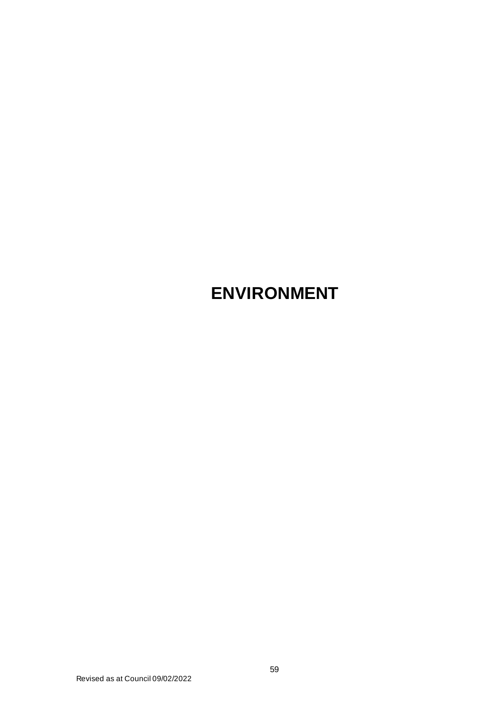# **ENVIRONMENT**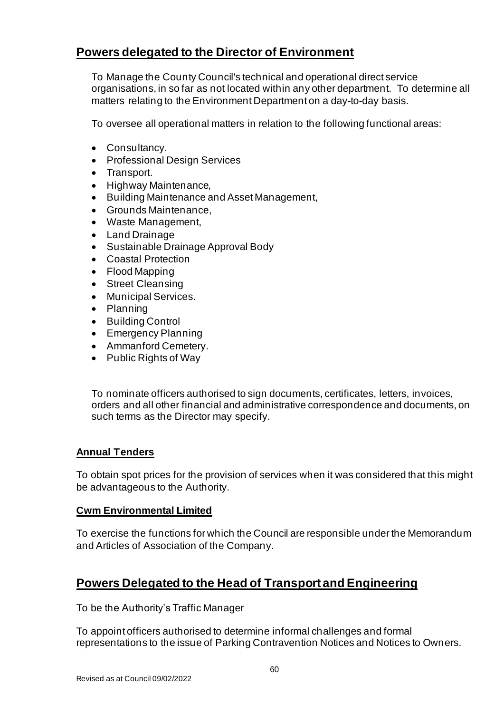# **Powers delegated to the Director of Environment**

To Manage the County Council's technical and operational direct service organisations, in so far as not located within any other department. To determine all matters relating to the Environment Department on a day-to-day basis.

To oversee all operational matters in relation to the following functional areas:

- Consultancy.
- Professional Design Services
- Transport.
- Highway Maintenance,
- Building Maintenance and Asset Management,
- Grounds Maintenance,
- Waste Management,
- Land Drainage
- Sustainable Drainage Approval Body
- Coastal Protection
- Flood Mapping
- Street Cleansing
- Municipal Services.
- Planning
- Building Control
- Emergency Planning
- Ammanford Cemetery.
- Public Rights of Way

To nominate officers authorised to sign documents, certificates, letters, invoices, orders and all other financial and administrative correspondence and documents, on such terms as the Director may specify.

# **Annual Tenders**

To obtain spot prices for the provision of services when it was considered that this might be advantageous to the Authority.

# **Cwm Environmental Limited**

To exercise the functions for which the Council are responsible under the Memorandum and Articles of Association of the Company.

# **Powers Delegated to the Head of Transport and Engineering**

To be the Authority's Traffic Manager

To appoint officers authorised to determine informal challenges and formal representations to the issue of Parking Contravention Notices and Notices to Owners.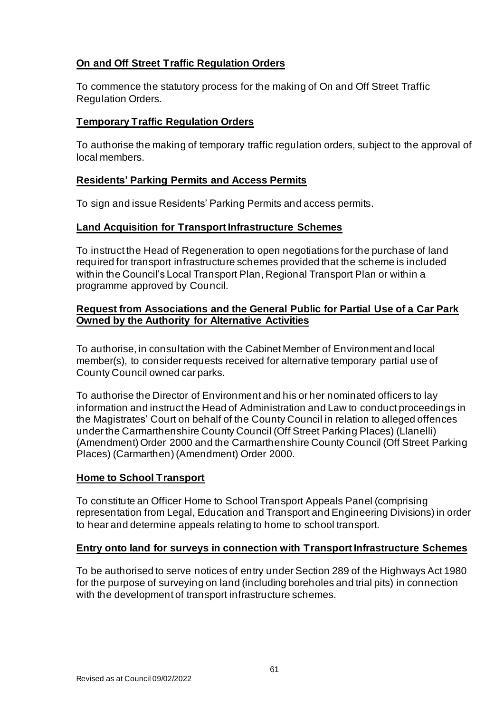# **On and Off Street Traffic Regulation Orders**

To commence the statutory process for the making of On and Off Street Traffic Regulation Orders.

# **Temporary Traffic Regulation Orders**

To authorise the making of temporary traffic regulation orders, subject to the approval of local members.

# **Residents' Parking Permits and Access Permits**

To sign and issue Residents' Parking Permits and access permits.

# **Land Acquisition for Transport Infrastructure Schemes**

To instruct the Head of Regeneration to open negotiations for the purchase of land required for transport infrastructure schemes provided that the scheme is included within the Council's Local Transport Plan, Regional Transport Plan or within a programme approved by Council.

# **Request from Associations and the General Public for Partial Use of a Car Park Owned by the Authority for Alternative Activities**

To authorise, in consultation with the Cabinet Member of Environment and local member(s), to consider requests received for alternative temporary partial use of County Council owned car parks.

To authorise the Director of Environment and his or her nominated officers to lay information and instruct the Head of Administration and Law to conduct proceedings in the Magistrates' Court on behalf of the County Council in relation to alleged offences under the Carmarthenshire County Council (Off Street Parking Places) (Llanelli) (Amendment) Order 2000 and the Carmarthenshire County Council (Off Street Parking Places) (Carmarthen) (Amendment) Order 2000.

# **Home to School Transport**

To constitute an Officer Home to School Transport Appeals Panel (comprising representation from Legal, Education and Transport and Engineering Divisions) in order to hear and determine appeals relating to home to school transport.

# **Entry onto land for surveys in connection with Transport Infrastructure Schemes**

To be authorised to serve notices of entry under Section 289 of the Highways Act 1980 for the purpose of surveying on land (including boreholes and trial pits) in connection with the development of transport infrastructure schemes.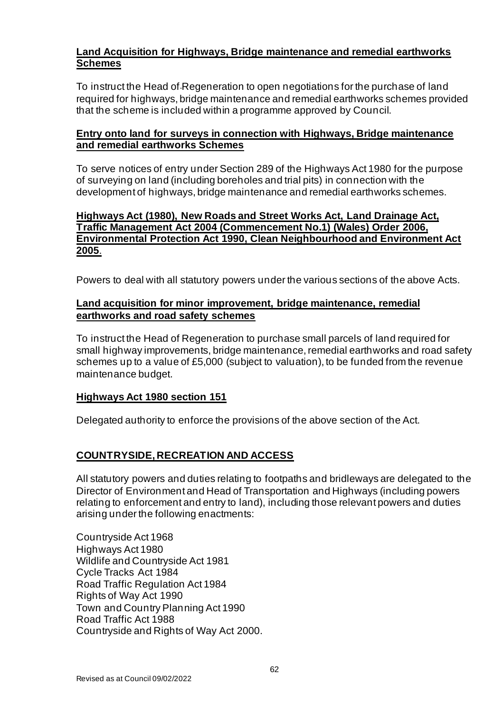# **Land Acquisition for Highways, Bridge maintenance and remedial earthworks Schemes**

To instruct the Head of Regeneration to open negotiations for the purchase of land required for highways, bridge maintenance and remedial earthworks schemes provided that the scheme is included within a programme approved by Council.

# **Entry onto land for surveys in connection with Highways, Bridge maintenance and remedial earthworks Schemes**

To serve notices of entry under Section 289 of the Highways Act 1980 for the purpose of surveying on land (including boreholes and trial pits) in connection with the development of highways, bridge maintenance and remedial earthworks schemes.

# **Highways Act (1980), New Roads and Street Works Act, Land Drainage Act, Traffic Management Act 2004 (Commencement No.1) (Wales) Order 2006, Environmental Protection Act 1990, Clean Neighbourhood and Environment Act 2005**.

Powers to deal with all statutory powers under the various sections of the above Acts.

# **Land acquisition for minor improvement, bridge maintenance, remedial earthworks and road safety schemes**

To instruct the Head of Regeneration to purchase small parcels of land required for small highway improvements, bridge maintenance, remedial earthworks and road safety schemes up to a value of £5,000 (subject to valuation), to be funded from the revenue maintenance budget.

# **Highways Act 1980 section 151**

Delegated authority to enforce the provisions of the above section of the Act.

# **COUNTRYSIDE, RECREATION AND ACCESS**

All statutory powers and duties relating to footpaths and bridleways are delegated to the Director of Environment and Head of Transportation and Highways (including powers relating to enforcement and entry to land), including those relevant powers and duties arising under the following enactments:

Countryside Act 1968 Highways Act 1980 Wildlife and Countryside Act 1981 Cycle Tracks Act 1984 Road Traffic Regulation Act 1984 Rights of Way Act 1990 Town and Country Planning Act 1990 Road Traffic Act 1988 Countryside and Rights of Way Act 2000.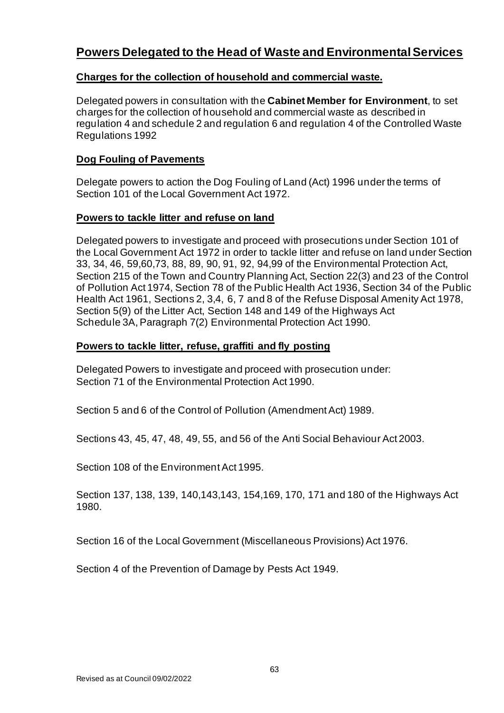# **Powers Delegated to the Head of Waste and Environmental Services**

# **Charges for the collection of household and commercial waste.**

Delegated powers in consultation with the **Cabinet Member for Environment**, to set charges for the collection of household and commercial waste as described in regulation 4 and schedule 2 and regulation 6 and regulation 4 of the Controlled Waste Regulations 1992

# **Dog Fouling of Pavements**

Delegate powers to action the Dog Fouling of Land (Act) 1996 under the terms of Section 101 of the Local Government Act 1972.

# **Powers to tackle litter and refuse on land**

Delegated powers to investigate and proceed with prosecutions under Section 101 of the Local Government Act 1972 in order to tackle litter and refuse on land under Section 33, 34, 46, 59,60,73, 88, 89, 90, 91, 92, 94,99 of the Environmental Protection Act, Section 215 of the Town and Country Planning Act, Section 22(3) and 23 of the Control of Pollution Act 1974, Section 78 of the Public Health Act 1936, Section 34 of the Public Health Act 1961, Sections 2, 3,4, 6, 7 and 8 of the Refuse Disposal Amenity Act 1978, Section 5(9) of the Litter Act, Section 148 and 149 of the Highways Act Schedule 3A, Paragraph 7(2) Environmental Protection Act 1990.

# **Powers to tackle litter, refuse, graffiti and fly posting**

Delegated Powers to investigate and proceed with prosecution under: Section 71 of the Environmental Protection Act 1990.

Section 5 and 6 of the Control of Pollution (Amendment Act) 1989.

Sections 43, 45, 47, 48, 49, 55, and 56 of the Anti Social Behaviour Act 2003.

Section 108 of the Environment Act 1995.

Section 137, 138, 139, 140,143,143, 154,169, 170, 171 and 180 of the Highways Act 1980.

Section 16 of the Local Government (Miscellaneous Provisions) Act 1976.

Section 4 of the Prevention of Damage by Pests Act 1949.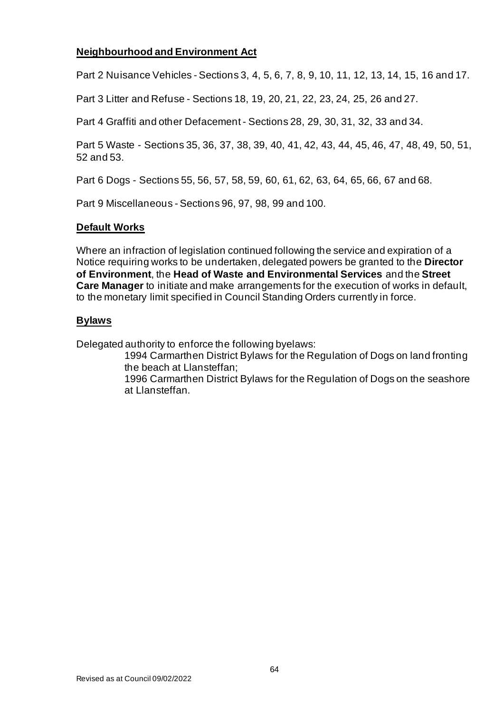# **Neighbourhood and Environment Act**

Part 2 Nuisance Vehicles - Sections 3, 4, 5, 6, 7, 8, 9, 10, 11, 12, 13, 14, 15, 16 and 17.

Part 3 Litter and Refuse - Sections 18, 19, 20, 21, 22, 23, 24, 25, 26 and 27.

Part 4 Graffiti and other Defacement - Sections 28, 29, 30, 31, 32, 33 and 34.

Part 5 Waste - Sections 35, 36, 37, 38, 39, 40, 41, 42, 43, 44, 45, 46, 47, 48, 49, 50, 51, 52 and 53.

Part 6 Dogs - Sections 55, 56, 57, 58, 59, 60, 61, 62, 63, 64, 65, 66, 67 and 68.

Part 9 Miscellaneous - Sections 96, 97, 98, 99 and 100.

#### **Default Works**

Where an infraction of legislation continued following the service and expiration of a Notice requiring works to be undertaken, delegated powers be granted to the **Director of Environment**, the **Head of Waste and Environmental Services** and the **Street Care Manager** to initiate and make arrangements for the execution of works in default, to the monetary limit specified in Council Standing Orders currently in force.

# **Bylaws**

Delegated authority to enforce the following byelaws:

1994 Carmarthen District Bylaws for the Regulation of Dogs on land fronting the beach at Llansteffan;

1996 Carmarthen District Bylaws for the Regulation of Dogs on the seashore at Llansteffan.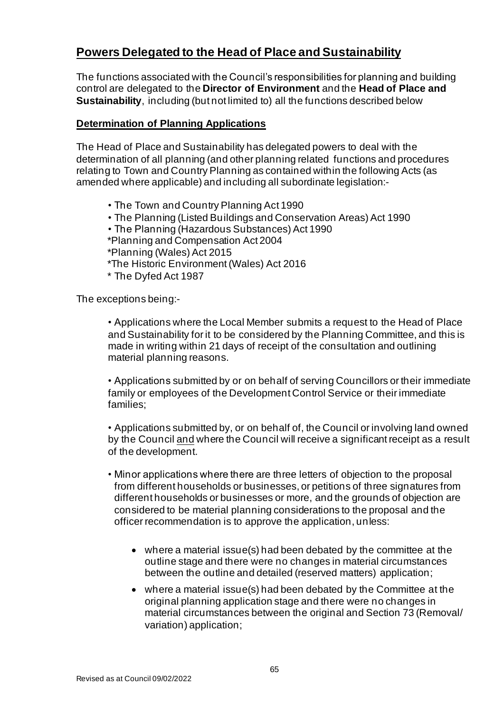# **Powers Delegated to the Head of Place and Sustainability**

The functions associated with the Council's responsibilities for planning and building control are delegated to the **Director of Environment** and the **Head of Place and Sustainability**, including (but not limited to) all the functions described below

# **Determination of Planning Applications**

The Head of Place and Sustainability has delegated powers to deal with the determination of all planning (and other planning related functions and procedures relating to Town and Country Planning as contained within the following Acts (as amended where applicable) and including all subordinate legislation:-

- The Town and Country Planning Act 1990
- The Planning (Listed Buildings and Conservation Areas) Act 1990
- The Planning (Hazardous Substances) Act 1990
- \*Planning and Compensation Act 2004
- \*Planning (Wales) Act 2015
- \*The Historic Environment (Wales) Act 2016
- \* The Dyfed Act 1987

The exceptions being:-

• Applications where the Local Member submits a request to the Head of Place and Sustainability for it to be considered by the Planning Committee, and this is made in writing within 21 days of receipt of the consultation and outlining material planning reasons.

• Applications submitted by or on behalf of serving Councillors or their immediate family or employees of the Development Control Service or their immediate families;

• Applications submitted by, or on behalf of, the Council or involving land owned by the Council and where the Council will receive a significant receipt as a result of the development.

- Minor applications where there are three letters of objection to the proposal from different households or businesses, or petitions of three signatures from different households or businesses or more, and the grounds of objection are considered to be material planning considerations to the proposal and the officer recommendation is to approve the application, unless:
	- where a material issue(s) had been debated by the committee at the outline stage and there were no changes in material circumstances between the outline and detailed (reserved matters) application;
	- where a material issue(s) had been debated by the Committee at the original planning application stage and there were no changes in material circumstances between the original and Section 73 (Removal/ variation) application;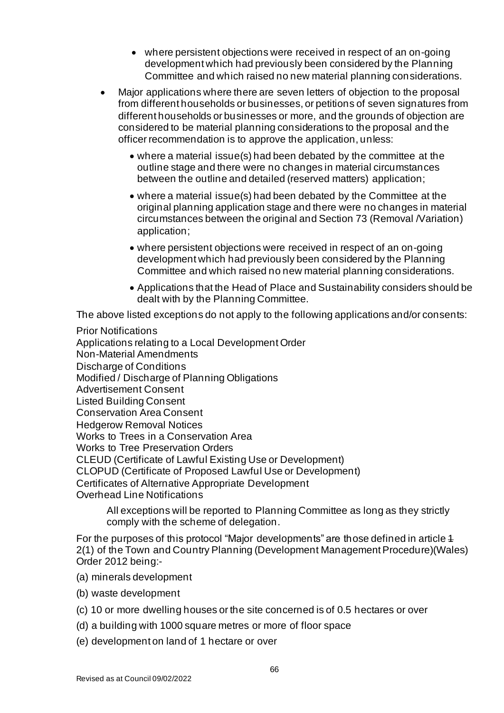- where persistent objections were received in respect of an on-going development which had previously been considered by the Planning Committee and which raised no new material planning considerations.
- Major applications where there are seven letters of objection to the proposal from different households or businesses, or petitions of seven signatures from different households or businesses or more, and the grounds of objection are considered to be material planning considerations to the proposal and the officer recommendation is to approve the application, unless:
	- where a material issue(s) had been debated by the committee at the outline stage and there were no changes in material circumstances between the outline and detailed (reserved matters) application;
	- where a material issue(s) had been debated by the Committee at the original planning application stage and there were no changes in material circumstances between the original and Section 73 (Removal /Variation) application;
	- where persistent objections were received in respect of an on-going development which had previously been considered by the Planning Committee and which raised no new material planning considerations.
	- Applications that the Head of Place and Sustainability considers should be dealt with by the Planning Committee.

The above listed exceptions do not apply to the following applications and/or consents:

Prior Notifications Applications relating to a Local Development Order Non-Material Amendments Discharge of Conditions Modified / Discharge of Planning Obligations Advertisement Consent Listed Building Consent Conservation Area Consent Hedgerow Removal Notices Works to Trees in a Conservation Area Works to Tree Preservation Orders CLEUD (Certificate of Lawful Existing Use or Development) CLOPUD (Certificate of Proposed Lawful Use or Development) Certificates of Alternative Appropriate Development Overhead Line Notifications

All exceptions will be reported to Planning Committee as long as they strictly comply with the scheme of delegation.

For the purposes of this protocol "Major developments" are those defined in article 1 2(1) of the Town and Country Planning (Development Management Procedure)(Wales) Order 2012 being:-

- (a) minerals development
- (b) waste development
- (c) 10 or more dwelling houses or the site concerned is of 0.5 hectares or over
- (d) a building with 1000 square metres or more of floor space
- (e) development on land of 1 hectare or over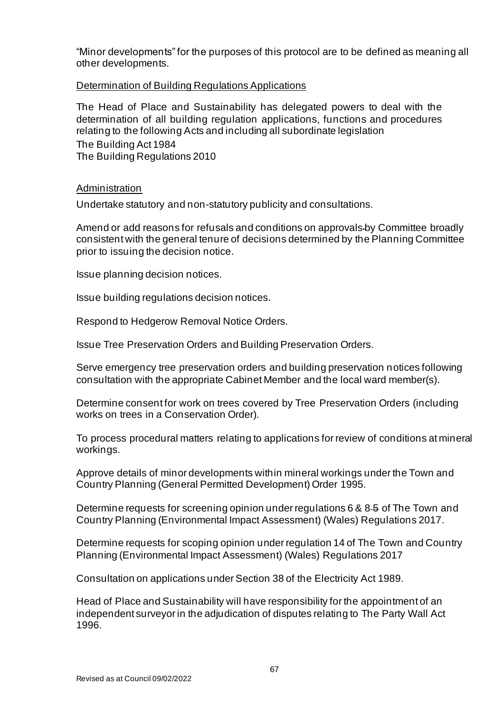"Minor developments" for the purposes of this protocol are to be defined as meaning all other developments.

#### Determination of Building Regulations Applications

The Head of Place and Sustainability has delegated powers to deal with the determination of all building regulation applications, functions and procedures relating to the following Acts and including all subordinate legislation The Building Act 1984 The Building Regulations 2010

Administration

Undertake statutory and non-statutory publicity and consultations.

Amend or add reasons for refusals and conditions on approvals by Committee broadly consistent with the general tenure of decisions determined by the Planning Committee prior to issuing the decision notice.

Issue planning decision notices.

Issue building regulations decision notices.

Respond to Hedgerow Removal Notice Orders.

Issue Tree Preservation Orders and Building Preservation Orders.

Serve emergency tree preservation orders and building preservation notices following consultation with the appropriate Cabinet Member and the local ward member(s).

Determine consent for work on trees covered by Tree Preservation Orders (including works on trees in a Conservation Order).

To process procedural matters relating to applications for review of conditions at mineral workings.

Approve details of minor developments within mineral workings under the Town and Country Planning (General Permitted Development) Order 1995.

Determine requests for screening opinion under regulations 6 & 8  $\pm$  of The Town and Country Planning (Environmental Impact Assessment) (Wales) Regulations 2017.

Determine requests for scoping opinion under regulation 14 of The Town and Country Planning (Environmental Impact Assessment) (Wales) Regulations 2017

Consultation on applications under Section 38 of the Electricity Act 1989.

Head of Place and Sustainability will have responsibility for the appointment of an independent surveyor in the adjudication of disputes relating to The Party Wall Act 1996.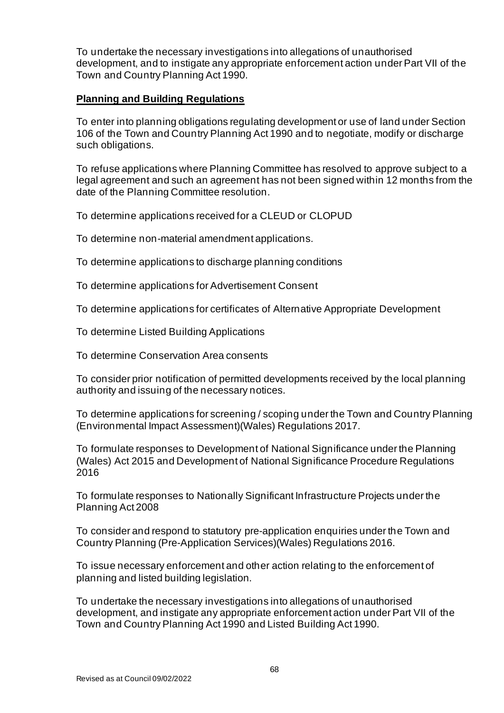To undertake the necessary investigations into allegations of unauthorised development, and to instigate any appropriate enforcement action under Part VII of the Town and Country Planning Act 1990.

# **Planning and Building Regulations**

To enter into planning obligations regulating development or use of land under Section 106 of the Town and Country Planning Act 1990 and to negotiate, modify or discharge such obligations.

To refuse applications where Planning Committee has resolved to approve subject to a legal agreement and such an agreement has not been signed within 12 months from the date of the Planning Committee resolution.

To determine applications received for a CLEUD or CLOPUD

To determine non-material amendment applications.

To determine applications to discharge planning conditions

To determine applications for Advertisement Consent

To determine applications for certificates of Alternative Appropriate Development

To determine Listed Building Applications

To determine Conservation Area consents

To consider prior notification of permitted developments received by the local planning authority and issuing of the necessary notices.

To determine applications for screening / scoping under the Town and Country Planning (Environmental Impact Assessment)(Wales) Regulations 2017.

To formulate responses to Development of National Significance under the Planning (Wales) Act 2015 and Development of National Significance Procedure Regulations 2016

To formulate responses to Nationally Significant Infrastructure Projects under the Planning Act 2008

To consider and respond to statutory pre-application enquiries under the Town and Country Planning (Pre-Application Services)(Wales) Regulations 2016.

To issue necessary enforcement and other action relating to the enforcement of planning and listed building legislation.

To undertake the necessary investigations into allegations of unauthorised development, and instigate any appropriate enforcement action under Part VII of the Town and Country Planning Act 1990 and Listed Building Act 1990.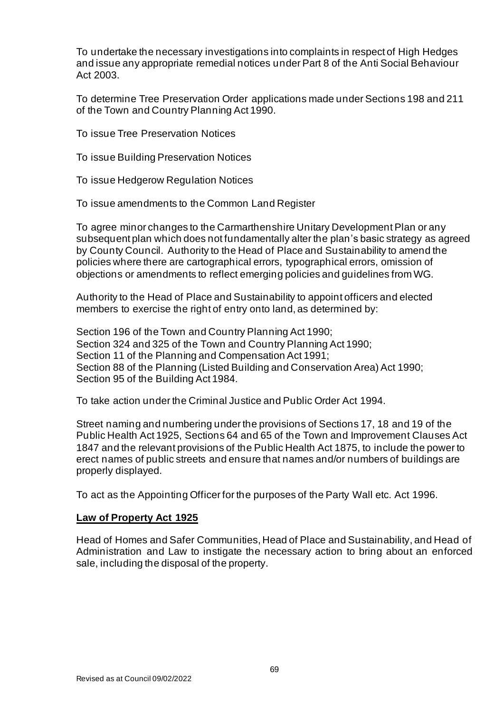To undertake the necessary investigations into complaints in respect of High Hedges and issue any appropriate remedial notices under Part 8 of the Anti Social Behaviour Act 2003.

To determine Tree Preservation Order applications made under Sections 198 and 211 of the Town and Country Planning Act 1990.

To issue Tree Preservation Notices

- To issue Building Preservation Notices
- To issue Hedgerow Regulation Notices
- To issue amendments to the Common Land Register

To agree minor changes to the Carmarthenshire Unitary Development Plan or any subsequent plan which does not fundamentally alter the plan's basic strategy as agreed by County Council. Authority to the Head of Place and Sustainability to amend the policies where there are cartographical errors, typographical errors, omission of objections or amendments to reflect emerging policies and guidelines from WG.

Authority to the Head of Place and Sustainability to appoint officers and elected members to exercise the right of entry onto land, as determined by:

Section 196 of the Town and Country Planning Act 1990; Section 324 and 325 of the Town and Country Planning Act 1990; Section 11 of the Planning and Compensation Act 1991; Section 88 of the Planning (Listed Building and Conservation Area) Act 1990; Section 95 of the Building Act 1984.

To take action under the Criminal Justice and Public Order Act 1994.

Street naming and numbering under the provisions of Sections 17, 18 and 19 of the Public Health Act 1925, Sections 64 and 65 of the Town and Improvement Clauses Act 1847 and the relevant provisions of the Public Health Act 1875, to include the power to erect names of public streets and ensure that names and/or numbers of buildings are properly displayed.

To act as the Appointing Officer for the purposes of the Party Wall etc. Act 1996.

# **Law of Property Act 1925**

Head of Homes and Safer Communities, Head of Place and Sustainability, and Head of Administration and Law to instigate the necessary action to bring about an enforced sale, including the disposal of the property.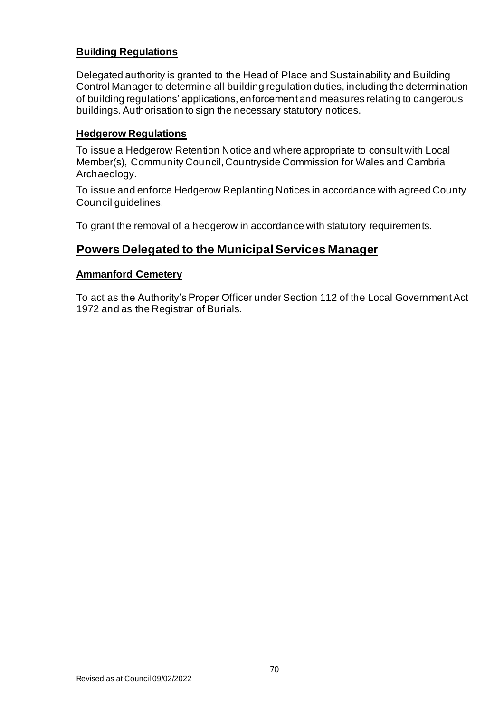# **Building Regulations**

Delegated authority is granted to the Head of Place and Sustainability and Building Control Manager to determine all building regulation duties, including the determination of building regulations' applications, enforcement and measures relating to dangerous buildings. Authorisation to sign the necessary statutory notices.

# **Hedgerow Regulations**

To issue a Hedgerow Retention Notice and where appropriate to consult with Local Member(s), Community Council, Countryside Commission for Wales and Cambria Archaeology.

To issue and enforce Hedgerow Replanting Notices in accordance with agreed County Council guidelines.

To grant the removal of a hedgerow in accordance with statutory requirements.

# **Powers Delegated to the Municipal Services Manager**

# **Ammanford Cemetery**

To act as the Authority's Proper Officer under Section 112 of the Local Government Act 1972 and as the Registrar of Burials.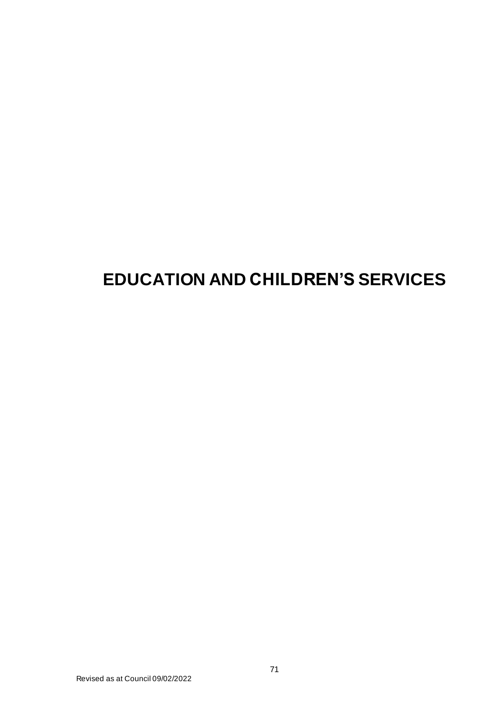# **EDUCATION AND CHILDREN'S SERVICES**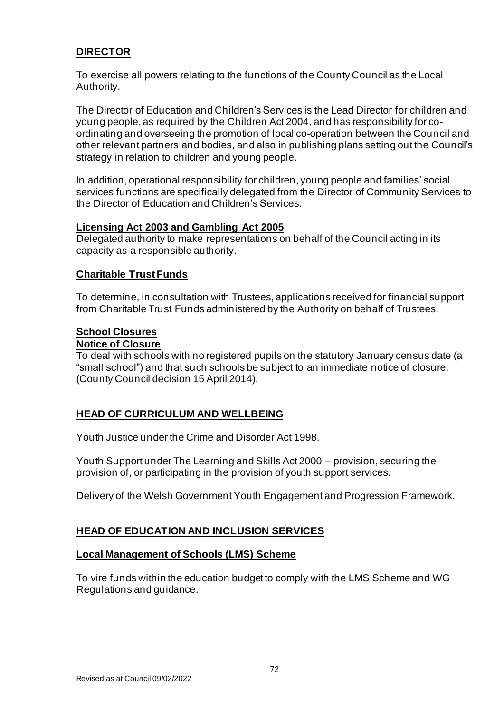# **DIRECTOR**

To exercise all powers relating to the functions of the County Council as the Local Authority.

The Director of Education and Children's Services is the Lead Director for children and young people, as required by the Children Act 2004, and has responsibility for coordinating and overseeing the promotion of local co-operation between the Council and other relevant partners and bodies, and also in publishing plans setting out the Council's strategy in relation to children and young people.

In addition, operational responsibility for children, young people and families' social services functions are specifically delegated from the Director of Community Services to the Director of Education and Children's Services.

#### **Licensing Act 2003 and Gambling Act 2005**

Delegated authority to make representations on behalf of the Council acting in its capacity as a responsible authority.

# **Charitable Trust Funds**

To determine, in consultation with Trustees, applications received for financial support from Charitable Trust Funds administered by the Authority on behalf of Trustees.

# **School Closures**

#### **Notice of Closure**

To deal with schools with no registered pupils on the statutory January census date (a "small school") and that such schools be subject to an immediate notice of closure. (County Council decision 15 April 2014).

# **HEAD OF CURRICULUM AND WELLBEING**

Youth Justice under the Crime and Disorder Act 1998.

Youth Support under The Learning and Skills Act 2000 – provision, securing the provision of, or participating in the provision of youth support services.

Delivery of the Welsh Government Youth Engagement and Progression Framework.

# **HEAD OF EDUCATION AND INCLUSION SERVICES**

# **Local Management of Schools (LMS) Scheme**

To vire funds within the education budget to comply with the LMS Scheme and WG Regulations and guidance.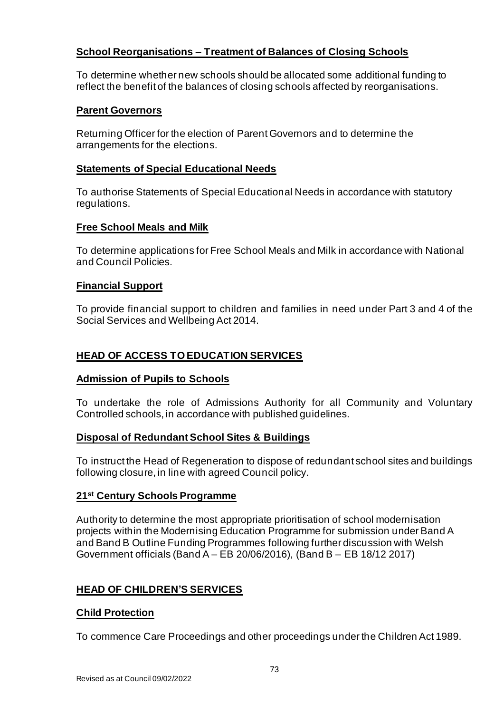# **School Reorganisations – Treatment of Balances of Closing Schools**

To determine whether new schools should be allocated some additional funding to reflect the benefit of the balances of closing schools affected by reorganisations.

## **Parent Governors**

Returning Officer for the election of Parent Governors and to determine the arrangements for the elections.

### **Statements of Special Educational Needs**

To authorise Statements of Special Educational Needs in accordance with statutory regulations.

#### **Free School Meals and Milk**

To determine applications for Free School Meals and Milk in accordance with National and Council Policies.

#### **Financial Support**

To provide financial support to children and families in need under Part 3 and 4 of the Social Services and Wellbeing Act 2014.

# **HEAD OF ACCESS TO EDUCATION SERVICES**

#### **Admission of Pupils to Schools**

To undertake the role of Admissions Authority for all Community and Voluntary Controlled schools, in accordance with published guidelines.

## **Disposal of Redundant School Sites & Buildings**

To instruct the Head of Regeneration to dispose of redundant school sites and buildings following closure, in line with agreed Council policy.

## **21st Century Schools Programme**

Authority to determine the most appropriate prioritisation of school modernisation projects within the Modernising Education Programme for submission under Band A and Band B Outline Funding Programmes following further discussion with Welsh Government officials (Band A – EB 20/06/2016), (Band B – EB 18/12 2017)

## **HEAD OF CHILDREN'S SERVICES**

#### **Child Protection**

To commence Care Proceedings and other proceedings under the Children Act 1989.